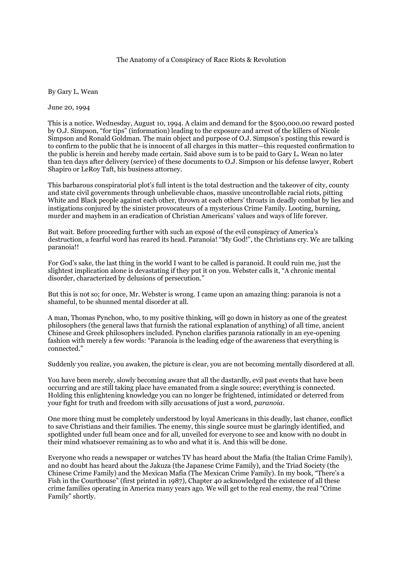## The Anatomy of a Conspiracy of Race Riots & Revolution

By Gary L. Wean

June 20, 1994

This is a notice. Wednesday, August 10, 1994. A claim and demand for the \$500,000.00 reward posted by O.J. Simpson, "for tips" (information) leading to the exposure and arrest of the killers of Nicole Simpson and Ronald Goldman. The main object and purpose of O.J. Simpson's posting this reward is to confirm to the public that he is innocent of all charges in this matter—this requested confirmation to the public is herein and hereby made certain. Said above sum is to be paid to Gary L. Wean no later than ten days after delivery (service) of these documents to O.J. Simpson or his defense lawyer, Robert Shapiro or LeRoy Taft, his business attorney.

This barbarous conspiratorial plot's full intent is the total destruction and the takeover of city, county and state civil governments through unbelievable chaos, massive uncontrollable racial riots, pitting White and Black people against each other, thrown at each others' throats in deadly combat by lies and instigations conjured by the sinister provocateurs of a mysterious Crime Family. Looting, burning, murder and mayhem in an eradication of Christian Americans' values and ways of life forever.

But wait. Before proceeding further with such an exposé of the evil conspiracy of America's destruction, a fearful word has reared its head. Paranoia! "My God!", the Christians cry. We are talking paranoia!!

For God's sake, the last thing in the world I want to be called is paranoid. It could ruin me, just the slightest implication alone is devastating if they put it on you. Webster calls it, "A chronic mental disorder, characterized by delusions of persecution."

But this is not so; for once, Mr. Webster is wrong. I came upon an amazing thing: paranoia is not a shameful, to be shunned mental disorder at all.

A man, Thomas Pynchon, who, to my positive thinking, will go down in history as one of the greatest philosophers (the general laws that furnish the rational explanation of anything) of all time, ancient Chinese and Greek philosophers included. Pynchon clarifies paranoia rationally in an eye-opening fashion with merely a few words: "Paranoia is the leading edge of the awareness that everything is connected."

Suddenly you realize, you awaken, the picture is clear, you are not becoming mentally disordered at all.

You have been merely, slowly becoming aware that all the dastardly, evil past events that have been occurring and are still taking place have emanated from a single source; everything is connected. Holding this enlightening knowledge you can no longer be frightened, intimidated or deterred from your fight for truth and freedom with silly accusations of just a word, *paranoia*.

One more thing must be completely understood by loyal Americans in this deadly, last chance, conflict to save Christians and their families. The enemy, this single source must be glaringly identified, and spotlighted under full beam once and for all, unveiled for everyone to see and know with no doubt in their mind whatsoever remaining as to who and what it is. And this will be done.

Everyone who reads a newspaper or watches TV has heard about the Mafia (the Italian Crime Family), and no doubt has heard about the Jakuza (the Japanese Crime Family), and the Triad Society (the Chinese Crime Family) and the Mexican Mafia (The Mexican Crime Family). In my book, "There's a Fish in the Courthouse" (first printed in 1987), Chapter 40 acknowledged the existence of all these crime families operating in America many years ago. We will get to the real enemy, the real "Crime Family" shortly.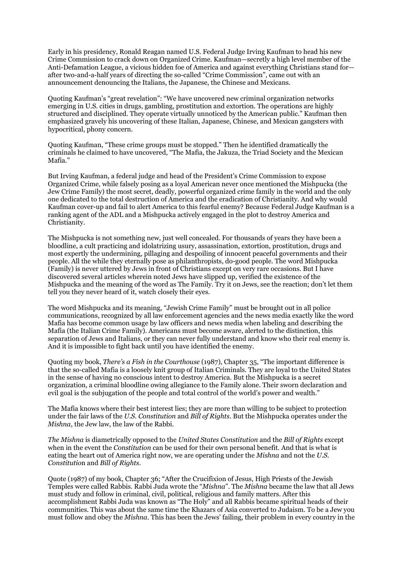Early in his presidency, Ronald Reagan named U.S. Federal Judge Irving Kaufman to head his new Crime Commission to crack down on Organized Crime. Kaufman—secretly a high level member of the Anti-Defamation League, a vicious hidden foe of America and against everything Christians stand for after two-and-a-half years of directing the so-called "Crime Commission", came out with an announcement denouncing the Italians, the Japanese, the Chinese and Mexicans.

Quoting Kaufman's "great revelation": "We have uncovered new criminal organization networks emerging in U.S. cities in drugs, gambling, prostitution and extortion. The operations are highly structured and disciplined. They operate virtually unnoticed by the American public." Kaufman then emphasized gravely his uncovering of these Italian, Japanese, Chinese, and Mexican gangsters with hypocritical, phony concern.

Quoting Kaufman, "These crime groups must be stopped." Then he identified dramatically the criminals he claimed to have uncovered, "The Mafia, the Jakuza, the Triad Society and the Mexican Mafia."

But Irving Kaufman, a federal judge and head of the President's Crime Commission to expose Organized Crime, while falsely posing as a loyal American never once mentioned the Mishpucka (the Jew Crime Family) the most secret, deadly, powerful organized crime family in the world and the only one dedicated to the total destruction of America and the eradication of Christianity. And why would Kaufman cover-up and fail to alert America to this fearful enemy? Because Federal Judge Kaufman is a ranking agent of the ADL and a Mishpucka actively engaged in the plot to destroy America and Christianity.

The Mishpucka is not something new, just well concealed. For thousands of years they have been a bloodline, a cult practicing and idolatrizing usury, assassination, extortion, prostitution, drugs and most expertly the undermining, pillaging and despoiling of innocent peaceful governments and their people. All the while they eternally pose as philanthropists, do-good people. The word Mishpucka (Family) is never uttered by Jews in front of Christians except on very rare occasions. But I have discovered several articles wherein noted Jews have slipped up, verified the existence of the Mishpucka and the meaning of the word as The Family. Try it on Jews, see the reaction; don't let them tell you they never heard of it, watch closely their eyes.

The word Mishpucka and its meaning, "Jewish Crime Family" must be brought out in all police communications, recognized by all law enforcement agencies and the news media exactly like the word Mafia has become common usage by law officers and news media when labeling and describing the Mafia (the Italian Crime Family). Americans must become aware, alerted to the distinction, this separation of Jews and Italians, or they can never fully understand and know who their real enemy is. And it is impossible to fight back until you have identified the enemy.

Quoting my book, *There's a Fish in the Courthouse* (1987), Chapter 35, "The important difference is that the so-called Mafia is a loosely knit group of Italian Criminals. They are loyal to the United States in the sense of having no conscious intent to destroy America. But the Mishpucka is a secret organization, a criminal bloodline owing allegiance to the Family alone. Their sworn declaration and evil goal is the subjugation of the people and total control of the world's power and wealth."

The Mafia knows where their best interest lies; they are more than willing to be subject to protection under the fair laws of the *U.S. Constitution* and *Bill of Rights*. But the Mishpucka operates under the *Mishna*, the Jew law, the law of the Rabbi.

*The Mishna* is diametrically opposed to the *United States Constitution* and the *Bill of Rights* except when in the event the *Constitution* can be used for their own personal benefit. And that is what is eating the heart out of America right now, we are operating under the *Mishna* and not the *U.S. Constitutio*n and *Bill of Rights*.

Quote (1987) of my book, Chapter 36; "After the Crucifixion of Jesus, High Priests of the Jewish Temples were called Rabbis. Rabbi Juda wrote the "*Mishna*". The *Mishna* became the law that all Jews must study and follow in criminal, civil, political, religious and family matters. After this accomplishment Rabbi Juda was known as "The Holy" and all Rabbis became spiritual heads of their communities. This was about the same time the Khazars of Asia converted to Judaism. To be a Jew you must follow and obey the *Mishna*. This has been the Jews' failing, their problem in every country in the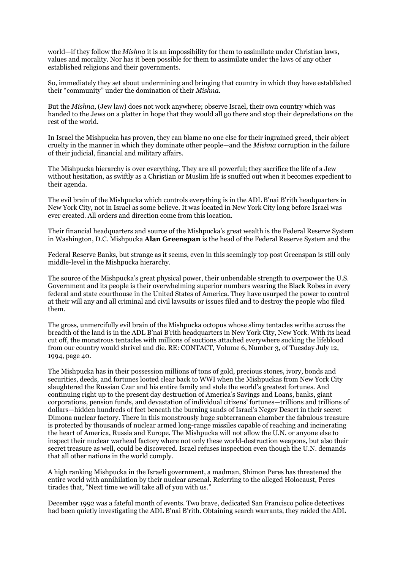world—if they follow the *Mishna* it is an impossibility for them to assimilate under Christian laws, values and morality. Nor has it been possible for them to assimilate under the laws of any other established religions and their governments.

So, immediately they set about undermining and bringing that country in which they have established their "community" under the domination of their *Mishna*.

But the *Mishna*, (Jew law) does not work anywhere; observe Israel, their own country which was handed to the Jews on a platter in hope that they would all go there and stop their depredations on the rest of the world.

In Israel the Mishpucka has proven, they can blame no one else for their ingrained greed, their abject cruelty in the manner in which they dominate other people—and the *Mishna* corruption in the failure of their judicial, financial and military affairs.

The Mishpucka hierarchy is over everything. They are all powerful; they sacrifice the life of a Jew without hesitation, as swiftly as a Christian or Muslim life is snuffed out when it becomes expedient to their agenda.

The evil brain of the Mishpucka which controls everything is in the ADL B'nai B'rith headquarters in New York City, not in Israel as some believe. It was located in New York City long before Israel was ever created. All orders and direction come from this location.

Their financial headquarters and source of the Mishpucka's great wealth is the Federal Reserve System in Washington, D.C. Mishpucka **Alan Greenspan** is the head of the Federal Reserve System and the

Federal Reserve Banks, but strange as it seems, even in this seemingly top post Greenspan is still only middle-level in the Mishpucka hierarchy.

The source of the Mishpucka's great physical power, their unbendable strength to overpower the U.S. Government and its people is their overwhelming superior numbers wearing the Black Robes in every federal and state courthouse in the United States of America. They have usurped the power to control at their will any and all criminal and civil lawsuits or issues filed and to destroy the people who filed them.

The gross, unmercifully evil brain of the Mishpucka octopus whose slimy tentacles writhe across the breadth of the land is in the ADL B'nai B'rith headquarters in New York City, New York. With its head cut off, the monstrous tentacles with millions of suctions attached everywhere sucking the lifeblood from our country would shrivel and die. RE: CONTACT, Volume 6, Number 3, of Tuesday July 12, 1994, page 40.

The Mishpucka has in their possession millions of tons of gold, precious stones, ivory, bonds and securities, deeds, and fortunes looted clear back to WWI when the Mishpuckas from New York City slaughtered the Russian Czar and his entire family and stole the world's greatest fortunes. And continuing right up to the present day destruction of America's Savings and Loans, banks, giant corporations, pension funds, and devastation of individual citizens' fortunes—trillions and trillions of dollars—hidden hundreds of feet beneath the burning sands of Israel's Negev Desert in their secret Dimona nuclear factory. There in this monstrously huge subterranean chamber the fabulous treasure is protected by thousands of nuclear armed long-range missiles capable of reaching and incinerating the heart of America, Russia and Europe. The Mishpucka will not allow the U.N. or anyone else to inspect their nuclear warhead factory where not only these world-destruction weapons, but also their secret treasure as well, could be discovered. Israel refuses inspection even though the U.N. demands that all other nations in the world comply.

A high ranking Mishpucka in the Israeli government, a madman, Shimon Peres has threatened the entire world with annihilation by their nuclear arsenal. Referring to the alleged Holocaust, Peres tirades that, "Next time we will take all of you with us."

December 1992 was a fateful month of events. Two brave, dedicated San Francisco police detectives had been quietly investigating the ADL B'nai B'rith. Obtaining search warrants, they raided the ADL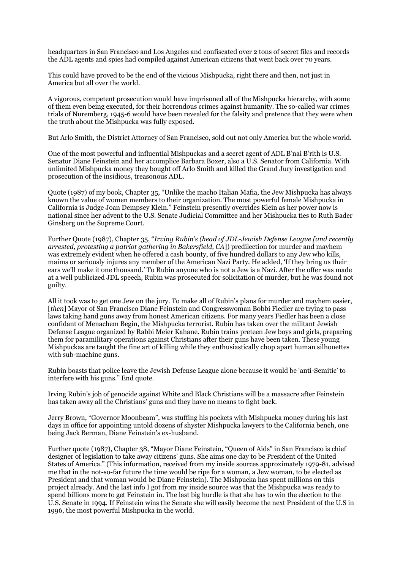headquarters in San Francisco and Los Angeles and confiscated over 2 tons of secret files and records the ADL agents and spies had compiled against American citizens that went back over 70 years.

This could have proved to be the end of the vicious Mishpucka, right there and then, not just in America but all over the world.

A vigorous, competent prosecution would have imprisoned all of the Mishpucka hierarchy, with some of them even being executed, for their horrendous crimes against humanity. The so-called war crimes trials of Nuremberg, 1945-6 would have been revealed for the falsity and pretence that they were when the truth about the Mishpucka was fully exposed.

But Arlo Smith, the District Attorney of San Francisco, sold out not only America but the whole world.

One of the most powerful and influential Mishpuckas and a secret agent of ADL B'nai B'rith is U.S. Senator Diane Feinstein and her accomplice Barbara Boxer, also a U.S. Senator from California. With unlimited Mishpucka money they bought off Arlo Smith and killed the Grand Jury investigation and prosecution of the insidious, treasonous ADL.

Quote (1987) of my book, Chapter 35, "Unlike the macho Italian Mafia, the Jew Mishpucka has always known the value of women members to their organization. The most powerful female Mishpucka in California is Judge Joan Dempsey Klein." Feinstein presently overrides Klein as her power now is national since her advent to the U.S. Senate Judicial Committee and her Mishpucka ties to Ruth Bader Ginsberg on the Supreme Court.

Further Quote (1987), Chapter 35, "*Irving Rubin's (head of JDL-Jewish Defense League [and recently arrested, protesting a patriot gathering in Bakersfield, CA*]) predilection for murder and mayhem was extremely evident when he offered a cash bounty, of five hundred dollars to any Jew who kills, maims or seriously injures any member of the American Nazi Party. He added, 'If they bring us their ears we'll make it one thousand.' To Rubin anyone who is not a Jew is a Nazi. After the offer was made at a well publicized JDL speech, Rubin was prosecuted for solicitation of murder, but he was found not guilty.

All it took was to get one Jew on the jury. To make all of Rubin's plans for murder and mayhem easier, [*then*] Mayor of San Francisco Diane Feinstein and Congresswoman Bobbi Fiedler are trying to pass laws taking hand guns away from honest American citizens. For many years Fiedler has been a close confidant of Menachem Begin, the Mishpucka terrorist. Rubin has taken over the militant Jewish Defense League organized by Rabbi Meier Kahane. Rubin trains preteen Jew boys and girls, preparing them for paramilitary operations against Christians after their guns have been taken. These young Mishpuckas are taught the fine art of killing while they enthusiastically chop apart human silhouettes with sub-machine guns.

Rubin boasts that police leave the Jewish Defense League alone because it would be 'anti-Semitic' to interfere with his guns." End quote.

Irving Rubin's job of genocide against White and Black Christians will be a massacre after Feinstein has taken away all the Christians' guns and they have no means to fight back.

Jerry Brown, "Governor Moonbeam", was stuffing his pockets with Mishpucka money during his last days in office for appointing untold dozens of shyster Mishpucka lawyers to the California bench, one being Jack Berman, Diane Feinstein's ex-husband.

Further quote (1987), Chapter 38, "Mayor Diane Feinstein, "Queen of Aids" in San Francisco is chief designer of legislation to take away citizens' guns. She aims one day to be President of the United States of America." (This information, received from my inside sources approximately 1979-81, advised me that in the not-so-far future the time would be ripe for a woman, a Jew woman, to be elected as President and that woman would be Diane Feinstein). The Mishpucka has spent millions on this project already. And the last info I got from my inside source was that the Mishpucka was ready to spend billions more to get Feinstein in. The last big hurdle is that she has to win the election to the U.S. Senate in 1994. If Feinstein wins the Senate she will easily become the next President of the U.S in 1996, the most powerful Mishpucka in the world.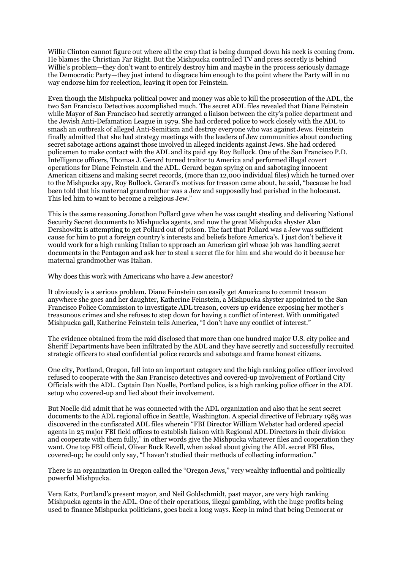Willie Clinton cannot figure out where all the crap that is being dumped down his neck is coming from. He blames the Christian Far Right. But the Mishpucka controlled TV and press secretly is behind Willie's problem—they don't want to entirely destroy him and maybe in the process seriously damage the Democratic Party—they just intend to disgrace him enough to the point where the Party will in no way endorse him for reelection, leaving it open for Feinstein.

Even though the Mishpucka political power and money was able to kill the prosecution of the ADL, the two San Francisco Detectives accomplished much. The secret ADL files revealed that Diane Feinstein while Mayor of San Francisco had secretly arranged a liaison between the city's police department and the Jewish Anti-Defamation League in 1979. She had ordered police to work closely with the ADL to smash an outbreak of alleged Anti-Semitism and destroy everyone who was against Jews. Feinstein finally admitted that she had strategy meetings with the leaders of Jew communities about conducting secret sabotage actions against those involved in alleged incidents against Jews. She had ordered policemen to make contact with the ADL and its paid spy Roy Bullock. One of the San Francisco P.D. Intelligence officers, Thomas J. Gerard turned traitor to America and performed illegal covert operations for Diane Feinstein and the ADL. Gerard began spying on and sabotaging innocent American citizens and making secret records, (more than 12,000 individual files) which he turned over to the Mishpucka spy, Roy Bullock. Gerard's motives for treason came about, he said, "because he had been told that his maternal grandmother was a Jew and supposedly had perished in the holocaust. This led him to want to become a religious Jew."

This is the same reasoning Jonathon Pollard gave when he was caught stealing and delivering National Security Secret documents to Mishpucka agents, and now the great Mishpucka shyster Alan Dershowitz is attempting to get Pollard out of prison. The fact that Pollard was a Jew was sufficient cause for him to put a foreign country's interests and beliefs before America's. I just don't believe it would work for a high ranking Italian to approach an American girl whose job was handling secret documents in the Pentagon and ask her to steal a secret file for him and she would do it because her maternal grandmother was Italian.

Why does this work with Americans who have a Jew ancestor?

It obviously is a serious problem. Diane Feinstein can easily get Americans to commit treason anywhere she goes and her daughter, Katherine Feinstein, a Mishpucka shyster appointed to the San Francisco Police Commission to investigate ADL treason, covers up evidence exposing her mother's treasonous crimes and she refuses to step down for having a conflict of interest. With unmitigated Mishpucka gall, Katherine Feinstein tells America, "I don't have any conflict of interest."

The evidence obtained from the raid disclosed that more than one hundred major U.S. city police and Sheriff Departments have been infiltrated by the ADL and they have secretly and successfully recruited strategic officers to steal confidential police records and sabotage and frame honest citizens.

One city, Portland, Oregon, fell into an important category and the high ranking police officer involved refused to cooperate with the San Francisco detectives and covered-up involvement of Portland City Officials with the ADL. Captain Dan Noelle, Portland police, is a high ranking police officer in the ADL setup who covered-up and lied about their involvement.

But Noelle did admit that he was connected with the ADL organization and also that he sent secret documents to the ADL regional office in Seattle, Washington. A special directive of February 1985 was discovered in the confiscated ADL files wherein "FBI Director William Webster had ordered special agents in 25 major FBI field offices to establish liaison with Regional ADL Directors in their division and cooperate with them fully," in other words give the Mishpucka whatever files and cooperation they want. One top FBI official, Oliver Buck Revell, when asked about giving the ADL secret FBI files, covered-up; he could only say, "I haven't studied their methods of collecting information."

There is an organization in Oregon called the "Oregon Jews," very wealthy influential and politically powerful Mishpucka.

Vera Katz, Portland's present mayor, and Neil Goldschmidt, past mayor, are very high ranking Mishpucka agents in the ADL. One of their operations, illegal gambling, with the huge profits being used to finance Mishpucka politicians, goes back a long ways. Keep in mind that being Democrat or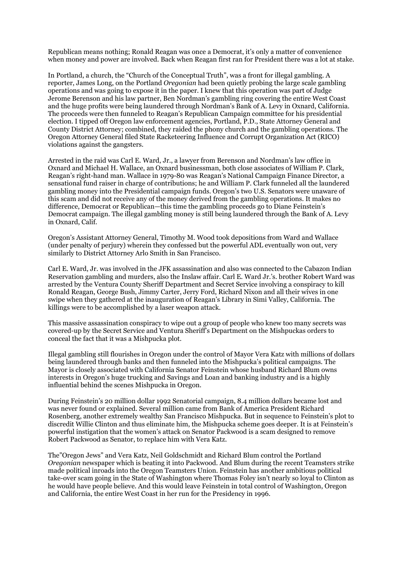Republican means nothing; Ronald Reagan was once a Democrat, it's only a matter of convenience when money and power are involved. Back when Reagan first ran for President there was a lot at stake.

In Portland, a church, the "Church of the Conceptual Truth", was a front for illegal gambling. A reporter, James Long, on the Portland *Oregonian* had been quietly probing the large scale gambling operations and was going to expose it in the paper. I knew that this operation was part of Judge Jerome Berenson and his law partner, Ben Nordman's gambling ring covering the entire West Coast and the huge profits were being laundered through Nordman's Bank of A. Levy in Oxnard, California. The proceeds were then funneled to Reagan's Republican Campaign committee for his presidential election. I tipped off Oregon law enforcement agencies, Portland, P.D., State Attorney General and County District Attorney; combined, they raided the phony church and the gambling operations. The Oregon Attorney General filed State Racketeering Influence and Corrupt Organization Act (RICO) violations against the gangsters.

Arrested in the raid was Carl E. Ward, Jr., a lawyer from Berenson and Nordman's law office in Oxnard and Michael H. Wallace, an Oxnard businessman, both close associates of William P. Clark, Reagan's right-hand man. Wallace in 1979-80 was Reagan's National Campaign Finance Director, a sensational fund raiser in charge of contributions; he and William P. Clark funneled all the laundered gambling money into the Presidential campaign funds. Oregon's two U.S. Senators were unaware of this scam and did not receive any of the money derived from the gambling operations. It makes no difference, Democrat or Republican—this time the gambling proceeds go to Diane Feinstein's Democrat campaign. The illegal gambling money is still being laundered through the Bank of A. Levy in Oxnard, Calif.

Oregon's Assistant Attorney General, Timothy M. Wood took depositions from Ward and Wallace (under penalty of perjury) wherein they confessed but the powerful ADL eventually won out, very similarly to District Attorney Arlo Smith in San Francisco.

Carl E. Ward, Jr. was involved in the JFK assassination and also was connected to the Cabazon Indian Reservation gambling and murders, also the Inslaw affair. Carl E. Ward Jr.'s. brother Robert Ward was arrested by the Ventura County Sheriff Department and Secret Service involving a conspiracy to kill Ronald Reagan, George Bush, Jimmy Carter, Jerry Ford, Richard Nixon and all their wives in one swipe when they gathered at the inauguration of Reagan's Library in Simi Valley, California. The killings were to be accomplished by a laser weapon attack.

This massive assassination conspiracy to wipe out a group of people who knew too many secrets was covered-up by the Secret Service and Ventura Sheriff's Department on the Mishpuckas orders to conceal the fact that it was a Mishpucka plot.

Illegal gambling still flourishes in Oregon under the control of Mayor Vera Katz with millions of dollars being laundered through banks and then funneled into the Mishpucka's political campaigns. The Mayor is closely associated with California Senator Feinstein whose husband Richard Blum owns interests in Oregon's huge trucking and Savings and Loan and banking industry and is a highly influential behind the scenes Mishpucka in Oregon.

During Feinstein's 20 million dollar 1992 Senatorial campaign, 8.4 million dollars became lost and was never found or explained. Several million came from Bank of America President Richard Rosenberg, another extremely wealthy San Francisco Mishpucka. But in sequence to Feinstein's plot to discredit Willie Clinton and thus eliminate him, the Mishpucka scheme goes deeper. It is at Feinstein's powerful instigation that the women's attack on Senator Packwood is a scam designed to remove Robert Packwood as Senator, to replace him with Vera Katz.

The"Oregon Jews" and Vera Katz, Neil Goldschmidt and Richard Blum control the Portland *Oregonian* newspaper which is beating it into Packwood. And Blum during the recent Teamsters strike made political inroads into the Oregon Teamsters Union. Feinstein has another ambitious political take-over scam going in the State of Washington where Thomas Foley isn't nearly so loyal to Clinton as he would have people believe. And this would leave Feinstein in total control of Washington, Oregon and California, the entire West Coast in her run for the Presidency in 1996.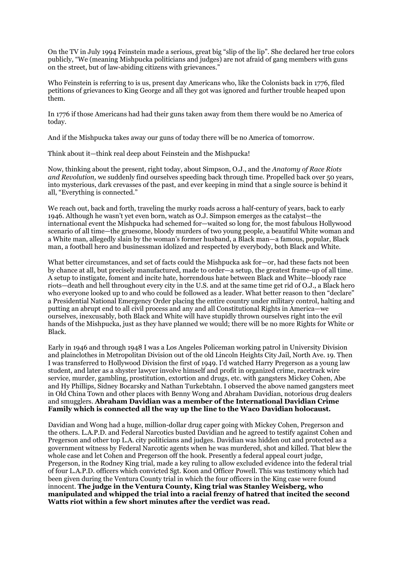On the TV in July 1994 Feinstein made a serious, great big "slip of the lip". She declared her true colors publicly, "We (meaning Mishpucka politicians and judges) are not afraid of gang members with guns on the street, but of law-abiding citizens with grievances."

Who Feinstein is referring to is us, present day Americans who, like the Colonists back in 1776, filed petitions of grievances to King George and all they got was ignored and further trouble heaped upon them.

In 1776 if those Americans had had their guns taken away from them there would be no America of today.

And if the Mishpucka takes away our guns of today there will be no America of tomorrow.

Think about it—think real deep about Feinstein and the Mishpucka!

Now, thinking about the present, right today, about Simpson, O.J., and the *Anatomy of Race Riots and Revolution,* we suddenly find ourselves speeding back through time. Propelled back over 50 years, into mysterious, dark crevasses of the past, and ever keeping in mind that a single source is behind it all, "Everything is connected."

We reach out, back and forth, traveling the murky roads across a half-century of years, back to early 1946. Although he wasn't yet even born, watch as O.J. Simpson emerges as the catalyst—the international event the Mishpucka had schemed for—waited so long for, the most fabulous Hollywood scenario of all time—the gruesome, bloody murders of two young people, a beautiful White woman and a White man, allegedly slain by the woman's former husband, a Black man—a famous, popular, Black man, a football hero and businessman idolized and respected by everybody, both Black and White.

What better circumstances, and set of facts could the Mishpucka ask for—or, had these facts not been by chance at all, but precisely manufactured, made to order—a setup, the greatest frame-up of all time. A setup to instigate, foment and incite hate, horrendous hate between Black and White—bloody race riots—death and hell throughout every city in the U.S. and at the same time get rid of O.J., a Black hero who everyone looked up to and who could be followed as a leader. What better reason to then "declare" a Presidential National Emergency Order placing the entire country under military control, halting and putting an abrupt end to all civil process and any and all Constitutional Rights in America—we ourselves, inexcusably, both Black and White will have stupidly thrown ourselves right into the evil hands of the Mishpucka, just as they have planned we would; there will be no more Rights for White or Black.

Early in 1946 and through 1948 I was a Los Angeles Policeman working patrol in University Division and plainclothes in Metropolitan Division out of the old Lincoln Heights City Jail, North Ave. 19. Then I was transferred to Hollywood Division the first of 1949. I'd watched Harry Pregerson as a young law student, and later as a shyster lawyer involve himself and profit in organized crime, racetrack wire service, murder, gambling, prostitution, extortion and drugs, etc. with gangsters Mickey Cohen, Abe and Hy Phillips, Sidney Bocarsky and Nathan Turkebtahn. I observed the above named gangsters meet in Old China Town and other places with Benny Wong and Abraham Davidian, notorious drug dealers and smugglers. **Abraham Davidian was a member of the International Davidian Crime Family which is connected all the way up the line to the Waco Davidian holocaust.** 

Davidian and Wong had a huge, million-dollar drug caper going with Mickey Cohen, Pregerson and the others. L.A.P.D. and Federal Narcotics busted Davidian and he agreed to testify against Cohen and Pregerson and other top L.A. city politicians and judges. Davidian was hidden out and protected as a government witness by Federal Narcotic agents when he was murdered, shot and killed. That blew the whole case and let Cohen and Pregerson off the hook. Presently a federal appeal court judge, Pregerson, in the Rodney King trial, made a key ruling to allow excluded evidence into the federal trial of four L.A.P.D. officers which convicted Sgt. Koon and Officer Powell. This was testimony which had been given during the Ventura County trial in which the four officers in the King case were found innocent. **The judge in the Ventura County, King trial was Stanley Weisberg, who manipulated and whipped the trial into a racial frenzy of hatred that incited the second Watts riot within a few short minutes after the verdict was read.**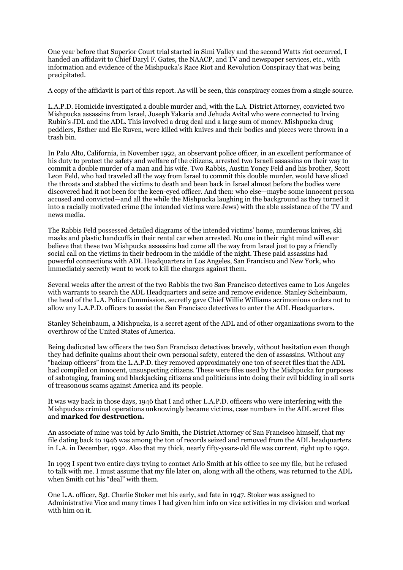One year before that Superior Court trial started in Simi Valley and the second Watts riot occurred, I handed an affidavit to Chief Daryl F. Gates, the NAACP, and TV and newspaper services, etc., with information and evidence of the Mishpucka's Race Riot and Revolution Conspiracy that was being precipitated.

A copy of the affidavit is part of this report. As will be seen, this conspiracy comes from a single source.

L.A.P.D. Homicide investigated a double murder and, with the L.A. District Attorney, convicted two Mishpucka assassins from Israel, Joseph Yakaria and Jehuda Avital who were connected to Irving Rubin's JDL and the ADL. This involved a drug deal and a large sum of money. Mishpucka drug peddlers, Esther and Ele Ruven, were killed with knives and their bodies and pieces were thrown in a trash bin.

In Palo Alto, California, in November 1992, an observant police officer, in an excellent performance of his duty to protect the safety and welfare of the citizens, arrested two Israeli assassins on their way to commit a double murder of a man and his wife. Two Rabbis, Austin Yoncy Feld and his brother, Scott Leon Feld, who had traveled all the way from Israel to commit this double murder, would have sliced the throats and stabbed the victims to death and been back in Israel almost before the bodies were discovered had it not been for the keen-eyed officer. And then: who else—maybe some innocent person accused and convicted—and all the while the Mishpucka laughing in the background as they turned it into a racially motivated crime (the intended victims were Jews) with the able assistance of the TV and news media.

The Rabbis Feld possessed detailed diagrams of the intended victims' home, murderous knives, ski masks and plastic handcuffs in their rental car when arrested. No one in their right mind will ever believe that these two Mishpucka assassins had come all the way from Israel just to pay a friendly social call on the victims in their bedroom in the middle of the night. These paid assassins had powerful connections with ADL Headquarters in Los Angeles, San Francisco and New York, who immediately secretly went to work to kill the charges against them.

Several weeks after the arrest of the two Rabbis the two San Francisco detectives came to Los Angeles with warrants to search the ADL Headquarters and seize and remove evidence. Stanley Scheinbaum, the head of the L.A. Police Commission, secretly gave Chief Willie Williams acrimonious orders not to allow any L.A.P.D. officers to assist the San Francisco detectives to enter the ADL Headquarters.

Stanley Scheinbaum, a Mishpucka, is a secret agent of the ADL and of other organizations sworn to the overthrow of the United States of America.

Being dedicated law officers the two San Francisco detectives bravely, without hesitation even though they had definite qualms about their own personal safety, entered the den of assassins. Without any "backup officers" from the L.A.P.D. they removed approximately one ton of secret files that the ADL had compiled on innocent, unsuspecting citizens. These were files used by the Mishpucka for purposes of sabotaging, framing and blackjacking citizens and politicians into doing their evil bidding in all sorts of treasonous scams against America and its people.

It was way back in those days, 1946 that I and other L.A.P.D. officers who were interfering with the Mishpuckas criminal operations unknowingly became victims, case numbers in the ADL secret files and **marked for destruction.** 

An associate of mine was told by Arlo Smith, the District Attorney of San Francisco himself, that my file dating back to 1946 was among the ton of records seized and removed from the ADL headquarters in L.A. in December, 1992. Also that my thick, nearly fifty-years-old file was current, right up to 1992.

In 1993 I spent two entire days trying to contact Arlo Smith at his office to see my file, but he refused to talk with me. I must assume that my file later on, along with all the others, was returned to the ADL when Smith cut his "deal" with them.

One L.A. officer, Sgt. Charlie Stoker met his early, sad fate in 1947. Stoker was assigned to Administrative Vice and many times I had given him info on vice activities in my division and worked with him on it.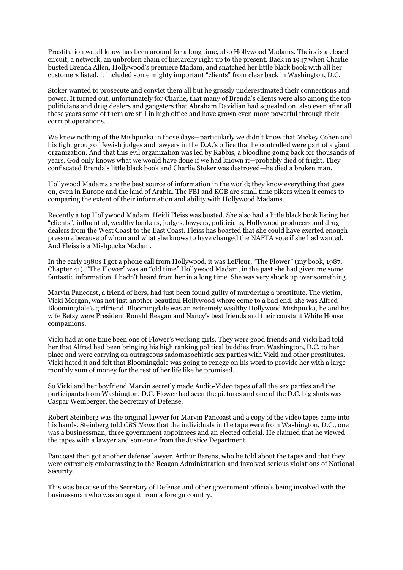Prostitution we all know has been around for a long time, also Hollywood Madams. Theirs is a closed circuit, a network, an unbroken chain of hierarchy right up to the present. Back in 1947 when Charlie busted Brenda Allen, Hollywood's premiere Madam, and snatched her little black book with all her customers listed, it included some mighty important "clients" from clear back in Washington, D.C.

Stoker wanted to prosecute and convict them all but he grossly underestimated their connections and power. It turned out, unfortunately for Charlie, that many of Brenda's clients were also among the top politicians and drug dealers and gangsters that Abraham Davidian had squealed on, also even after all these years some of them are still in high office and have grown even more powerful through their corrupt operations.

We knew nothing of the Mishpucka in those days—particularly we didn't know that Mickey Cohen and his tight group of Jewish judges and lawyers in the D.A.'s office that he controlled were part of a giant organization. And that this evil organization was led by Rabbis, a bloodline going back for thousands of years. God only knows what we would have done if we had known it—probably died of fright. They confiscated Brenda's little black book and Charlie Stoker was destroyed—he died a broken man.

Hollywood Madams are the best source of information in the world; they know everything that goes on, even in Europe and the land of Arabia. The FBI and KGB are small time pikers when it comes to comparing the extent of their information and ability with Hollywood Madams.

Recently a top Hollywood Madam, Heidi Fleiss was busted. She also had a little black book listing her "clients", influential, wealthy bankers, judges, lawyers, politicians, Hollywood producers and drug dealers from the West Coast to the East Coast. Fleiss has boasted that she could have exerted enough pressure because of whom and what she knows to have changed the NAFTA vote if she had wanted. And Fleiss is a Mishpucka Madam.

In the early 1980s I got a phone call from Hollywood, it was LeFleur, "The Flower" (my book, 1987, Chapter 41). "The Flower" was an "old time" Hollywood Madam, in the past she had given me some fantastic information. I hadn't heard from her in a long time. She was very shook up over something.

Marvin Pancoast, a friend of hers, had just been found guilty of murdering a prostitute. The victim, Vicki Morgan, was not just another beautiful Hollywood whore come to a bad end, she was Alfred Bloomingdale's girlfriend. Bloomingdale was an extremely wealthy Hollywood Mishpucka, he and his wife Betsy were President Ronald Reagan and Nancy's best friends and their constant White House companions.

Vicki had at one time been one of Flower's working girls. They were good friends and Vicki had told her that Alfred had been bringing his high ranking political buddies from Washington, D.C. to her place and were carrying on outrageous sadomasochistic sex parties with Vicki and other prostitutes. Vicki hated it and felt that Bloomingdale was going to renege on his word to provide her with a large monthly sum of money for the rest of her life like he promised.

So Vicki and her boyfriend Marvin secretly made Audio-Video tapes of all the sex parties and the participants from Washington, D.C. Flower had seen the pictures and one of the D.C. big shots was Caspar Weinberger, the Secretary of Defense.

Robert Steinberg was the original lawyer for Marvin Pancoast and a copy of the video tapes came into his hands. Steinberg told *CBS News* that the individuals in the tape were from Washington, D.C., one was a businessman, three government appointees and an elected official. He claimed that he viewed the tapes with a lawyer and someone from the Justice Department.

Pancoast then got another defense lawyer, Arthur Barens, who he told about the tapes and that they were extremely embarrassing to the Reagan Administration and involved serious violations of National Security.

This was because of the Secretary of Defense and other government officials being involved with the businessman who was an agent from a foreign country.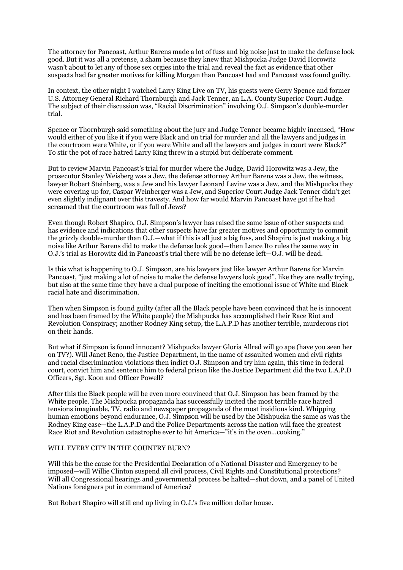The attorney for Pancoast, Arthur Barens made a lot of fuss and big noise just to make the defense look good. But it was all a pretense, a sham because they knew that Mishpucka Judge David Horowitz wasn't about to let any of those sex orgies into the trial and reveal the fact as evidence that other suspects had far greater motives for killing Morgan than Pancoast had and Pancoast was found guilty.

In context, the other night I watched Larry King Live on TV, his guests were Gerry Spence and former U.S. Attorney General Richard Thornburgh and Jack Tenner, an L.A. County Superior Court Judge. The subject of their discussion was, "Racial Discrimination" involving O.J. Simpson's double-murder trial.

Spence or Thornburgh said something about the jury and Judge Tenner became highly incensed, "How would either of you like it if you were Black and on trial for murder and all the lawyers and judges in the courtroom were White, or if you were White and all the lawyers and judges in court were Black?" To stir the pot of race hatred Larry King threw in a stupid but deliberate comment.

But to review Marvin Pancoast's trial for murder where the Judge, David Horowitz was a Jew, the prosecutor Stanley Weisberg was a Jew, the defense attorney Arthur Barens was a Jew, the witness, lawyer Robert Steinberg, was a Jew and his lawyer Leonard Levine was a Jew, and the Mishpucka they were covering up for, Caspar Weinberger was a Jew, and Superior Court Judge Jack Tenner didn't get even slightly indignant over this travesty. And how far would Marvin Pancoast have got if he had screamed that the courtroom was full of Jews?

Even though Robert Shapiro, O.J. Simpson's lawyer has raised the same issue of other suspects and has evidence and indications that other suspects have far greater motives and opportunity to commit the grizzly double-murder than O.J.—what if this is all just a big fuss, and Shapiro is just making a big noise like Arthur Barens did to make the defense look good—then Lance Ito rules the same way in O.J.'s trial as Horowitz did in Pancoast's trial there will be no defense left—O.J. will be dead.

Is this what is happening to O.J. Simpson, are his lawyers just like lawyer Arthur Barens for Marvin Pancoast, "just making a lot of noise to make the defense lawyers look good", like they are really trying, but also at the same time they have a dual purpose of inciting the emotional issue of White and Black racial hate and discrimination.

Then when Simpson is found guilty (after all the Black people have been convinced that he is innocent and has been framed by the White people) the Mishpucka has accomplished their Race Riot and Revolution Conspiracy; another Rodney King setup, the L.A.P.D has another terrible, murderous riot on their hands.

But what if Simpson is found innocent? Mishpucka lawyer Gloria Allred will go ape (have you seen her on TV?). Will Janet Reno, the Justice Department, in the name of assaulted women and civil rights and racial discrimination violations then indict O.J. Simpson and try him again, this time in federal court, convict him and sentence him to federal prison like the Justice Department did the two L.A.P.D Officers, Sgt. Koon and Officer Powell?

After this the Black people will be even more convinced that O.J. Simpson has been framed by the White people. The Mishpucka propaganda has successfully incited the most terrible race hatred tensions imaginable, TV, radio and newspaper propaganda of the most insidious kind. Whipping human emotions beyond endurance, O.J. Simpson will be used by the Mishpucka the same as was the Rodney King case—the L.A.P.D and the Police Departments across the nation will face the greatest Race Riot and Revolution catastrophe ever to hit America—"it's in the oven...cooking."

## WILL EVERY CITY IN THE COUNTRY BURN?

Will this be the cause for the Presidential Declaration of a National Disaster and Emergency to be imposed—will Willie Clinton suspend all civil process, Civil Rights and Constitutional protections? Will all Congressional hearings and governmental process be halted—shut down, and a panel of United Nations foreigners put in command of America?

But Robert Shapiro will still end up living in O.J.'s five million dollar house.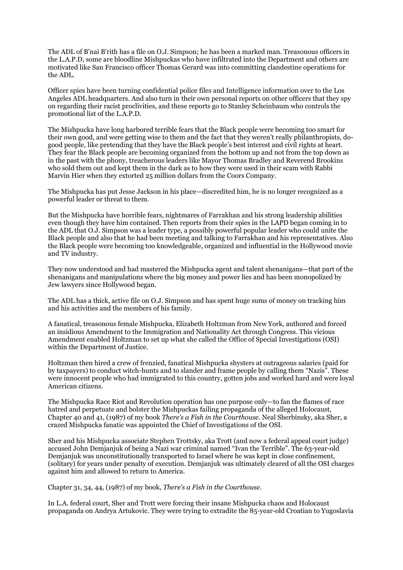The ADL of B'nai B'rith has a file on O.J. Simpson; he has been a marked man. Treasonous officers in the L.A.P.D, some are bloodline Mishpuckas who have infiltrated into the Department and others are motivated like San Francisco officer Thomas Gerard was into committing clandestine operations for the ADL.

Officer spies have been turning confidential police files and Intelligence information over to the Los Angeles ADL headquarters. And also turn in their own personal reports on other officers that they spy on regarding their racist proclivities, and these reports go to Stanley Scheinbaum who controls the promotional list of the L.A.P.D.

The Mishpucka have long harbored terrible fears that the Black people were becoming too smart for their own good, and were getting wise to them and the fact that they weren't really philanthropists, dogood people, like pretending that they have the Black people's best interest and civil rights at heart. They fear the Black people are becoming organized from the bottom up and not from the top down as in the past with the phony, treacherous leaders like Mayor Thomas Bradley and Reverend Brookins who sold them out and kept them in the dark as to how they were used in their scam with Rabbi Marvin Hier when they extorted 25 million dollars from the Coors Company.

The Mishpucka has put Jesse Jackson in his place—discredited him, he is no longer recognized as a powerful leader or threat to them.

But the Mishpucka have horrible fears, nightmares of Farrakhan and his strong leadership abilities even though they have him contained. Then reports from their spies in the LAPD began coming in to the ADL that O.J. Simpson was a leader type, a possibly powerful popular leader who could unite the Black people and also that he had been meeting and talking to Farrakhan and his representatives. Also the Black people were becoming too knowledgeable, organized and influential in the Hollywood movie and TV industry.

They now understood and had mastered the Mishpucka agent and talent shenanigans—that part of the shenanigans and manipulations where the big money and power lies and has been monopolized by Jew lawyers since Hollywood began.

The ADL has a thick, active file on O.J. Simpson and has spent huge sums of money on tracking him and his activities and the members of his family.

A fanatical, treasonous female Mishpucka, Elizabeth Holtzman from New York, authored and forced an insidious Amendment to the Immigration and Nationality Act through Congress. This vicious Amendment enabled Holtzman to set up what she called the Office of Special Investigations (OSI) within the Department of Justice.

Holtzman then hired a crew of frenzied, fanatical Mishpucka shysters at outrageous salaries (paid for by taxpayers) to conduct witch-hunts and to slander and frame people by calling them "Nazis". These were innocent people who had immigrated to this country, gotten jobs and worked hard and were loyal American citizens.

The Mishpucka Race Riot and Revolution operation has one purpose only—to fan the flames of race hatred and perpetuate and bolster the Mishpuckas failing propaganda of the alleged Holocaust, Chapter 40 and 41, (1987) of my book *There's a Fish in the Courthouse*. Neal Sherbinsky, aka Sher, a crazed Mishpucka fanatic was appointed the Chief of Investigations of the OSI.

Sher and his Mishpucka associate Stephen Trottsky, aka Trott (and now a federal appeal court judge) accused John Demjanjuk of being a Nazi war criminal named "Ivan the Terrible". The 63-year-old Demjanjuk was unconstitutionally transported to Israel where he was kept in close confinement, (solitary) for years under penalty of execution. Demjanjuk was ultimately cleared of all the OSI charges against him and allowed to return to America.

Chapter 31, 34, 44, (1987) of my book, *There's a Fish in the Courthouse*.

In L.A. federal court, Sher and Trott were forcing their insane Mishpucka chaos and Holocaust propaganda on Andrya Artukovic. They were trying to extradite the 85-year-old Croatian to Yugoslavia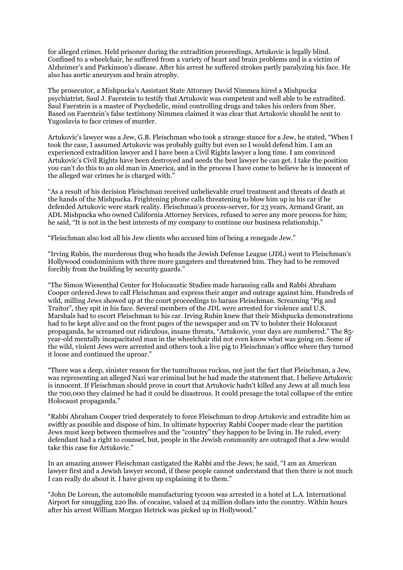for alleged crimes. Held prisoner during the extradition proceedings, Artukovic is legally blind. Confined to a wheelchair, he suffered from a variety of heart and brain problems and is a victim of Alzheimer's and Parkinson's disease. After his arrest he suffered strokes partly paralyzing his face. He also has aortic aneurysm and brain atrophy.

The prosecutor, a Mishpucka's Assistant State Attorney David Nimmea hired a Mishpucka psychiatrist, Saul J. Faerstein to testify that Artukovic was competent and well able to be extradited. Saul Faerstein is a master of Psychedelic, mind controlling drugs and takes his orders from Sher. Based on Faerstein's false testimony Nimmea claimed it was clear that Artukovic should be sent to Yugoslavia to face crimes of murder.

Artukovic's lawyer was a Jew, G.B. Fleischman who took a strange stance for a Jew, he stated, "When I took the case, I assumed Artukovic was probably guilty but even so I would defend him. I am an experienced extradition lawyer and I have been a Civil Rights lawyer a long time. I am convinced Artukovic's Civil Rights have been destroyed and needs the best lawyer he can get. I take the position you can't do this to an old man in America, and in the process I have come to believe he is innocent of the alleged war crimes he is charged with."

"As a result of his decision Fleischman received unbelievable cruel treatment and threats of death at the hands of the Mishpucka. Frightening phone calls threatening to blow him up in his car if he defended Artukovic were stark reality. Fleischman's process-server, for 23 years, Armand Grant, an ADL Mishpucka who owned California Attorney Services, refused to serve any more process for him; he said, "It is not in the best interests of my company to continue our business relationship."

"Fleischman also lost all his Jew clients who accused him of being a renegade Jew."

"Irving Rubin, the murderous thug who heads the Jewish Defense League (JDL) went to Fleischman's Hollywood condominium with three more gangsters and threatened him. They had to be removed forcibly from the building by security guards."

"The Simon Wiesenthal Center for Holocaustic Studies made harassing calls and Rabbi Abraham Cooper ordered Jews to call Fleischman and express their anger and outrage against him. Hundreds of wild, milling Jews showed up at the court proceedings to harass Fleischman. Screaming "Pig and Traitor", they spit in his face. Several members of the JDL were arrested for violence and U.S. Marshals had to escort Fleischman to his car. Irving Rubin knew that their Mishpucka demonstrations had to be kept alive and on the front pages of the newspaper and on TV to bolster their Holocaust propaganda, he screamed out ridiculous, insane threats, "Artukovic, your days are numbered." The 85 year-old mentally incapacitated man in the wheelchair did not even know what was going on. Some of the wild, violent Jews were arrested and others took a live pig to Fleischman's office where they turned it loose and continued the uproar."

"There was a deep, sinister reason for the tumultuous ruckus, not just the fact that Fleischman, a Jew, was representing an alleged Nazi war criminal but he had made the statement that, I believe Artukovic is innocent. If Fleischman should prove in court that Artukovic hadn't killed any Jews at all much less the 700,000 they claimed he had it could be disastrous. It could presage the total collapse of the entire Holocaust propaganda."

"Rabbi Abraham Cooper tried desperately to force Fleischman to drop Artukovic and extradite him as swiftly as possible and dispose of him. In ultimate hypocrisy Rabbi Cooper made clear the partition Jews must keep between themselves and the "country" they happen to be living in. He ruled, every defendant had a right to counsel, but, people in the Jewish community are outraged that a Jew would take this case for Artukovic."

In an amazing answer Fleischman castigated the Rabbi and the Jews; he said, "I am an American lawyer first and a Jewish lawyer second, if these people cannot understand that then there is not much I can really do about it. I have given up explaining it to them."

"John De Lorean, the automobile manufacturing tycoon was arrested in a hotel at L.A. International Airport for smuggling 220 lbs. of cocaine, valued at 24 million dollars into the country. Within hours after his arrest William Morgan Hetrick was picked up in Hollywood."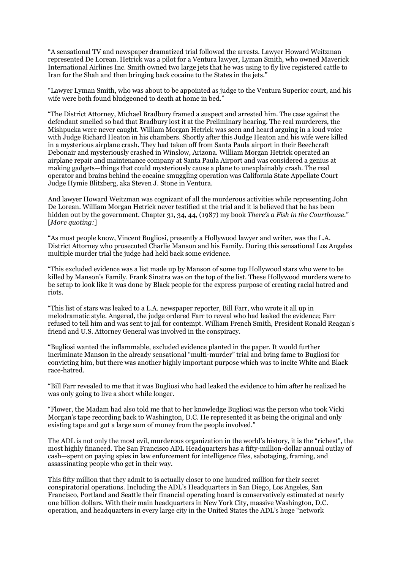"A sensational TV and newspaper dramatized trial followed the arrests. Lawyer Howard Weitzman represented De Lorean. Hetrick was a pilot for a Ventura lawyer, Lyman Smith, who owned Maverick International Airlines Inc. Smith owned two large jets that he was using to fly live registered cattle to Iran for the Shah and then bringing back cocaine to the States in the jets."

"Lawyer Lyman Smith, who was about to be appointed as judge to the Ventura Superior court, and his wife were both found bludgeoned to death at home in bed."

"The District Attorney, Michael Bradbury framed a suspect and arrested him. The case against the defendant smelled so bad that Bradbury lost it at the Preliminary hearing. The real murderers, the Mishpucka were never caught. William Morgan Hetrick was seen and heard arguing in a loud voice with Judge Richard Heaton in his chambers. Shortly after this Judge Heaton and his wife were killed in a mysterious airplane crash. They had taken off from Santa Paula airport in their Beechcraft Debonair and mysteriously crashed in Winslow, Arizona. William Morgan Hetrick operated an airplane repair and maintenance company at Santa Paula Airport and was considered a genius at making gadgets—things that could mysteriously cause a plane to unexplainably crash. The real operator and brains behind the cocaine smuggling operation was California State Appellate Court Judge Hymie Blitzberg, aka Steven J. Stone in Ventura.

And lawyer Howard Weitzman was cognizant of all the murderous activities while representing John De Lorean. William Morgan Hetrick never testified at the trial and it is believed that he has been hidden out by the government. Chapter 31, 34, 44, (1987) my book *There's a Fish in the Courthouse*." [*More quoting:*]

"As most people know, Vincent Bugliosi, presently a Hollywood lawyer and writer, was the L.A. District Attorney who prosecuted Charlie Manson and his Family. During this sensational Los Angeles multiple murder trial the judge had held back some evidence.

"This excluded evidence was a list made up by Manson of some top Hollywood stars who were to be killed by Manson's Family. Frank Sinatra was on the top of the list. These Hollywood murders were to be setup to look like it was done by Black people for the express purpose of creating racial hatred and riots.

"This list of stars was leaked to a L.A. newspaper reporter, Bill Farr, who wrote it all up in melodramatic style. Angered, the judge ordered Farr to reveal who had leaked the evidence; Farr refused to tell him and was sent to jail for contempt. William French Smith, President Ronald Reagan's friend and U.S. Attorney General was involved in the conspiracy.

"Bugliosi wanted the inflammable, excluded evidence planted in the paper. It would further incriminate Manson in the already sensational "multi-murder" trial and bring fame to Bugliosi for convicting him, but there was another highly important purpose which was to incite White and Black race-hatred.

"Bill Farr revealed to me that it was Bugliosi who had leaked the evidence to him after he realized he was only going to live a short while longer.

"Flower, the Madam had also told me that to her knowledge Bugliosi was the person who took Vicki Morgan's tape recording back to Washington, D.C. He represented it as being the original and only existing tape and got a large sum of money from the people involved."

The ADL is not only the most evil, murderous organization in the world's history, it is the "richest", the most highly financed. The San Francisco ADL Headquarters has a fifty-million-dollar annual outlay of cash—spent on paying spies in law enforcement for intelligence files, sabotaging, framing, and assassinating people who get in their way.

This fifty million that they admit to is actually closer to one hundred million for their secret conspiratorial operations. Including the ADL's Headquarters in San Diego, Los Angeles, San Francisco, Portland and Seattle their financial operating hoard is conservatively estimated at nearly one billion dollars. With their main headquarters in New York City, massive Washington, D.C. operation, and headquarters in every large city in the United States the ADL's huge "network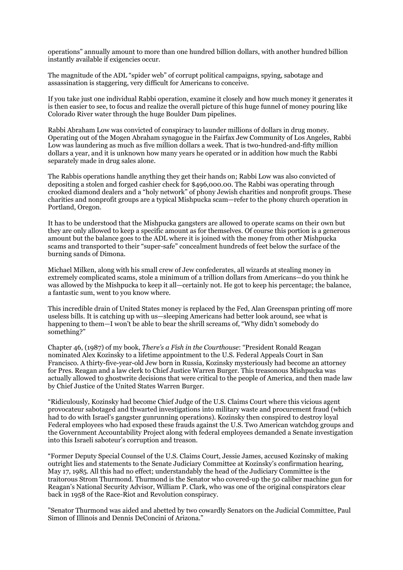operations" annually amount to more than one hundred billion dollars, with another hundred billion instantly available if exigencies occur.

The magnitude of the ADL "spider web" of corrupt political campaigns, spying, sabotage and assassination is staggering, very difficult for Americans to conceive.

If you take just one individual Rabbi operation, examine it closely and how much money it generates it is then easier to see, to focus and realize the overall picture of this huge funnel of money pouring like Colorado River water through the huge Boulder Dam pipelines.

Rabbi Abraham Low was convicted of conspiracy to launder millions of dollars in drug money. Operating out of the Mogen Abraham synagogue in the Fairfax Jew Community of Los Angeles, Rabbi Low was laundering as much as five million dollars a week. That is two-hundred-and-fifty million dollars a year, and it is unknown how many years he operated or in addition how much the Rabbi separately made in drug sales alone.

The Rabbis operations handle anything they get their hands on; Rabbi Low was also convicted of depositing a stolen and forged cashier check for \$496,000.00. The Rabbi was operating through crooked diamond dealers and a "holy network" of phony Jewish charities and nonprofit groups. These charities and nonprofit groups are a typical Mishpucka scam—refer to the phony church operation in Portland, Oregon.

It has to be understood that the Mishpucka gangsters are allowed to operate scams on their own but they are only allowed to keep a specific amount as for themselves. Of course this portion is a generous amount but the balance goes to the ADL where it is joined with the money from other Mishpucka scams and transported to their "super-safe" concealment hundreds of feet below the surface of the burning sands of Dimona.

Michael Milken, along with his small crew of Jew confederates, all wizards at stealing money in extremely complicated scams, stole a minimum of a trillion dollars from Americans—do you think he was allowed by the Mishpucka to keep it all—certainly not. He got to keep his percentage; the balance, a fantastic sum, went to you know where.

This incredible drain of United States money is replaced by the Fed, Alan Greenspan printing off more useless bills. It is catching up with us—sleeping Americans had better look around, see what is happening to them—I won't be able to bear the shrill screams of, "Why didn't somebody do something?"

Chapter 46, (1987) of my book, *There's a Fish in the Courthouse*: "President Ronald Reagan nominated Alex Kozinsky to a lifetime appointment to the U.S. Federal Appeals Court in San Francisco. A thirty-five-year-old Jew born in Russia, Kozinsky mysteriously had become an attorney for Pres. Reagan and a law clerk to Chief Justice Warren Burger. This treasonous Mishpucka was actually allowed to ghostwrite decisions that were critical to the people of America, and then made law by Chief Justice of the United States Warren Burger.

"Ridiculously, Kozinsky had become Chief Judge of the U.S. Claims Court where this vicious agent provocateur sabotaged and thwarted investigations into military waste and procurement fraud (which had to do with Israel's gangster gunrunning operations). Kozinsky then conspired to destroy loyal Federal employees who had exposed these frauds against the U.S. Two American watchdog groups and the Government Accountability Project along with federal employees demanded a Senate investigation into this Israeli saboteur's corruption and treason.

"Former Deputy Special Counsel of the U.S. Claims Court, Jessie James, accused Kozinsky of making outright lies and statements to the Senate Judiciary Committee at Kozinsky's confirmation hearing, May 17, 1985. All this had no effect; understandably the head of the Judiciary Committee is the traitorous Strom Thurmond. Thurmond is the Senator who covered-up the 50 caliber machine gun for Reagan's National Security Advisor, William P. Clark, who was one of the original conspirators clear back in 1958 of the Race-Riot and Revolution conspiracy.

"Senator Thurmond was aided and abetted by two cowardly Senators on the Judicial Committee, Paul Simon of Illinois and Dennis DeConcini of Arizona."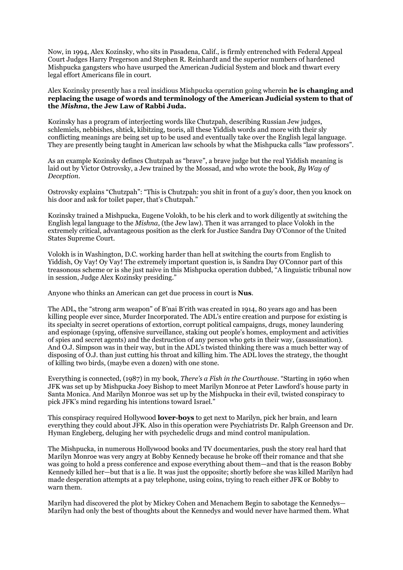Now, in 1994, Alex Kozinsky, who sits in Pasadena, Calif., is firmly entrenched with Federal Appeal Court Judges Harry Pregerson and Stephen R. Reinhardt and the superior numbers of hardened Mishpucka gangsters who have usurped the American Judicial System and block and thwart every legal effort Americans file in court.

Alex Kozinsky presently has a real insidious Mishpucka operation going wherein **he is changing and replacing the usage of words and terminology of the American Judicial system to that of the** *Mishna***, the Jew Law of Rabbi Juda.** 

Kozinsky has a program of interjecting words like Chutzpah, describing Russian Jew judges, schlemiels, nebbishes, shtick, kibitzing, tsoris, all these Yiddish words and more with their sly conflicting meanings are being set up to be used and eventually take over the English legal language. They are presently being taught in American law schools by what the Mishpucka calls "law professors".

As an example Kozinsky defines Chutzpah as "brave", a brave judge but the real Yiddish meaning is laid out by Victor Ostrovsky, a Jew trained by the Mossad, and who wrote the book, *By Way of Deception*.

Ostrovsky explains "Chutzpah": "This is Chutzpah: you shit in front of a guy's door, then you knock on his door and ask for toilet paper, that's Chutzpah."

Kozinsky trained a Mishpucka, Eugene Volokh, to be his clerk and to work diligently at switching the English legal language to the *Mishna*, (the Jew law). Then it was arranged to place Volokh in the extremely critical, advantageous position as the clerk for Justice Sandra Day O'Connor of the United States Supreme Court.

Volokh is in Washington, D.C. working harder than hell at switching the courts from English to Yiddish, Oy Vay! Oy Vay! The extremely important question is, is Sandra Day O'Connor part of this treasonous scheme or is she just naive in this Mishpucka operation dubbed, "A linguistic tribunal now in session, Judge Alex Kozinsky presiding."

Anyone who thinks an American can get due process in court is **Nus**.

The ADL, the "strong arm weapon" of B'nai B'rith was created in 1914, 80 years ago and has been killing people ever since, Murder Incorporated. The ADL's entire creation and purpose for existing is its specialty in secret operations of extortion, corrupt political campaigns, drugs, money laundering and espionage (spying, offensive surveillance, staking out people's homes, employment and activities of spies and secret agents) and the destruction of any person who gets in their way, (assassination). And O.J. Simpson was in their way, but in the ADL's twisted thinking there was a much better way of disposing of O.J. than just cutting his throat and killing him. The ADL loves the strategy, the thought of killing two birds, (maybe even a dozen) with one stone.

Everything is connected, (1987) in my book, *There's a Fish in the Courthouse*. "Starting in 1960 when JFK was set up by Mishpucka Joey Bishop to meet Marilyn Monroe at Peter Lawford's house party in Santa Monica. And Marilyn Monroe was set up by the Mishpucka in their evil, twisted conspiracy to pick JFK's mind regarding his intentions toward Israel."

This conspiracy required Hollywood **lover-boys** to get next to Marilyn, pick her brain, and learn everything they could about JFK. Also in this operation were Psychiatrists Dr. Ralph Greenson and Dr. Hyman Engleberg, deluging her with psychedelic drugs and mind control manipulation.

The Mishpucka, in numerous Hollywood books and TV documentaries, push the story real hard that Marilyn Monroe was very angry at Bobby Kennedy because he broke off their romance and that she was going to hold a press conference and expose everything about them—and that is the reason Bobby Kennedy killed her—but that is a lie. It was just the opposite; shortly before she was killed Marilyn had made desperation attempts at a pay telephone, using coins, trying to reach either JFK or Bobby to warn them.

Marilyn had discovered the plot by Mickey Cohen and Menachem Begin to sabotage the Kennedys— Marilyn had only the best of thoughts about the Kennedys and would never have harmed them. What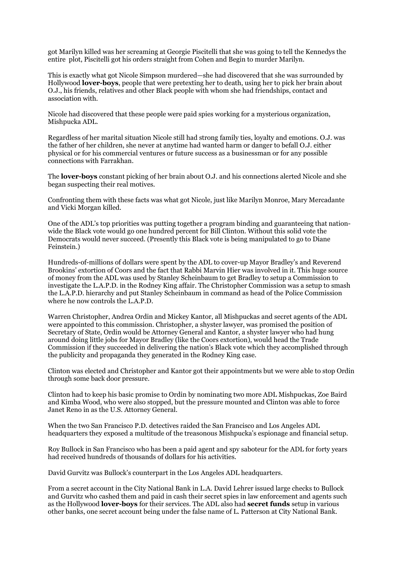got Marilyn killed was her screaming at Georgie Piscitelli that she was going to tell the Kennedys the entire plot, Piscitelli got his orders straight from Cohen and Begin to murder Marilyn.

This is exactly what got Nicole Simpson murdered—she had discovered that she was surrounded by Hollywood **lover-boys**, people that were pretexting her to death, using her to pick her brain about O.J., his friends, relatives and other Black people with whom she had friendships, contact and association with.

Nicole had discovered that these people were paid spies working for a mysterious organization, Mishpucka ADL.

Regardless of her marital situation Nicole still had strong family ties, loyalty and emotions. O.J. was the father of her children, she never at anytime had wanted harm or danger to befall O.J. either physical or for his commercial ventures or future success as a businessman or for any possible connections with Farrakhan.

The **lover-boys** constant picking of her brain about O.J. and his connections alerted Nicole and she began suspecting their real motives.

Confronting them with these facts was what got Nicole, just like Marilyn Monroe, Mary Mercadante and Vicki Morgan killed.

One of the ADL's top priorities was putting together a program binding and guaranteeing that nationwide the Black vote would go one hundred percent for Bill Clinton. Without this solid vote the Democrats would never succeed. (Presently this Black vote is being manipulated to go to Diane Feinstein.)

Hundreds-of-millions of dollars were spent by the ADL to cover-up Mayor Bradley's and Reverend Brookins' extortion of Coors and the fact that Rabbi Marvin Hier was involved in it. This huge source of money from the ADL was used by Stanley Scheinbaum to get Bradley to setup a Commission to investigate the L.A.P.D. in the Rodney King affair. The Christopher Commission was a setup to smash the L.A.P.D. hierarchy and put Stanley Scheinbaum in command as head of the Police Commission where he now controls the L.A.P.D.

Warren Christopher, Andrea Ordin and Mickey Kantor, all Mishpuckas and secret agents of the ADL were appointed to this commission. Christopher, a shyster lawyer, was promised the position of Secretary of State, Ordin would be Attorney General and Kantor, a shyster lawyer who had hung around doing little jobs for Mayor Bradley (like the Coors extortion), would head the Trade Commission if they succeeded in delivering the nation's Black vote which they accomplished through the publicity and propaganda they generated in the Rodney King case.

Clinton was elected and Christopher and Kantor got their appointments but we were able to stop Ordin through some back door pressure.

Clinton had to keep his basic promise to Ordin by nominating two more ADL Mishpuckas, Zoe Baird and Kimba Wood, who were also stopped, but the pressure mounted and Clinton was able to force Janet Reno in as the U.S. Attorney General.

When the two San Francisco P.D. detectives raided the San Francisco and Los Angeles ADL headquarters they exposed a multitude of the treasonous Mishpucka's espionage and financial setup.

Roy Bullock in San Francisco who has been a paid agent and spy saboteur for the ADL for forty years had received hundreds of thousands of dollars for his activities.

David Gurvitz was Bullock's counterpart in the Los Angeles ADL headquarters.

From a secret account in the City National Bank in L.A. David Lehrer issued large checks to Bullock and Gurvitz who cashed them and paid in cash their secret spies in law enforcement and agents such as the Hollywood **lover-boys** for their services. The ADL also had **secret funds** setup in various other banks, one secret account being under the false name of L. Patterson at City National Bank.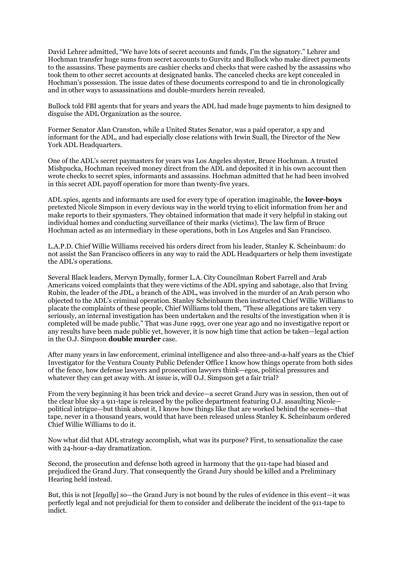David Lehrer admitted, "We have lots of secret accounts and funds, I'm the signatory." Lehrer and Hochman transfer huge sums from secret accounts to Gurvitz and Bullock who make direct payments to the assassins. These payments are cashier checks and checks that were cashed by the assassins who took them to other secret accounts at designated banks. The canceled checks are kept concealed in Hochman's possession. The issue dates of these documents correspond to and tie in chronologically and in other ways to assassinations and double-murders herein revealed.

Bullock told FBI agents that for years and years the ADL had made huge payments to him designed to disguise the ADL Organization as the source.

Former Senator Alan Cranston, while a United States Senator, was a paid operator, a spy and informant for the ADL, and had especially close relations with Irwin Suall, the Director of the New York ADL Headquarters.

One of the ADL's secret paymasters for years was Los Angeles shyster, Bruce Hochman. A trusted Mishpucka, Hochman received money direct from the ADL and deposited it in his own account then wrote checks to secret spies, informants and assassins. Hochman admitted that he had been involved in this secret ADL payoff operation for more than twenty-five years.

ADL spies, agents and informants are used for every type of operation imaginable, the **lover-boys**  pretexted Nicole Simpson in every devious way in the world trying to elicit information from her and make reports to their spymasters. They obtained information that made it very helpful in staking out individual homes and conducting surveillance of their marks (victims). The law firm of Bruce Hochman acted as an intermediary in these operations, both in Los Angeles and San Francisco.

L.A.P.D. Chief Willie Williams received his orders direct from his leader, Stanley K. Scheinbaum: do not assist the San Francisco officers in any way to raid the ADL Headquarters or help them investigate the ADL's operations.

Several Black leaders, Mervyn Dymally, former L.A. City Councilman Robert Farrell and Arab Americans voiced complaints that they were victims of the ADL spying and sabotage, also that Irving Rubin, the leader of the JDL, a branch of the ADL, was involved in the murder of an Arab person who objected to the ADL's criminal operation. Stanley Scheinbaum then instructed Chief Willie Williams to placate the complaints of these people, Chief Williams told them, "These allegations are taken very seriously, an internal investigation has been undertaken and the results of the investigation when it is completed will be made public." That was June 1993, over one year ago and no investigative report or any results have been made public yet, however, it is now high time that action be taken—legal action in the O.J. Simpson **double murder** case.

After many years in law enforcement, criminal intelligence and also three-and-a-half years as the Chief Investigator for the Ventura County Public Defender Office I know how things operate from both sides of the fence, how defense lawyers and prosecution lawyers think—egos, political pressures and whatever they can get away with. At issue is, will O.J. Simpson get a fair trial?

From the very beginning it has been trick and device—a secret Grand Jury was in session, then out of the clear blue sky a 911-tape is released by the police department featuring O.J. assaulting Nicole political intrigue—but think about it, I know how things like that are worked behind the scenes—that tape, never in a thousand years, would that have been released unless Stanley K. Scheinbaum ordered Chief Willie Williams to do it.

Now what did that ADL strategy accomplish, what was its purpose? First, to sensationalize the case with 24-hour-a-day dramatization.

Second, the prosecution and defense both agreed in harmony that the 911-tape had biased and prejudiced the Grand Jury. That consequently the Grand Jury should be killed and a Preliminary Hearing held instead.

But, this is not [*legally*] so—the Grand Jury is not bound by the rules of evidence in this event—it was perfectly legal and not prejudicial for them to consider and deliberate the incident of the 911-tape to indict.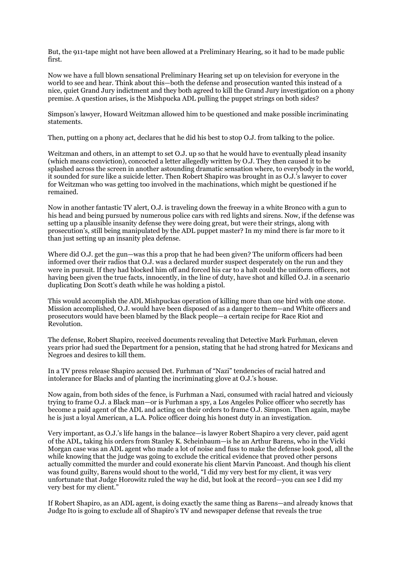But, the 911-tape might not have been allowed at a Preliminary Hearing, so it had to be made public first.

Now we have a full blown sensational Preliminary Hearing set up on television for everyone in the world to see and hear. Think about this—both the defense and prosecution wanted this instead of a nice, quiet Grand Jury indictment and they both agreed to kill the Grand Jury investigation on a phony premise. A question arises, is the Mishpucka ADL pulling the puppet strings on both sides?

Simpson's lawyer, Howard Weitzman allowed him to be questioned and make possible incriminating statements.

Then, putting on a phony act, declares that he did his best to stop O.J. from talking to the police.

Weitzman and others, in an attempt to set O.J. up so that he would have to eventually plead insanity (which means conviction), concocted a letter allegedly written by O.J. They then caused it to be splashed across the screen in another astounding dramatic sensation where, to everybody in the world, it sounded for sure like a suicide letter. Then Robert Shapiro was brought in as O.J.'s lawyer to cover for Weitzman who was getting too involved in the machinations, which might be questioned if he remained.

Now in another fantastic TV alert, O.J. is traveling down the freeway in a white Bronco with a gun to his head and being pursued by numerous police cars with red lights and sirens. Now, if the defense was setting up a plausible insanity defense they were doing great, but were their strings, along with prosecution's, still being manipulated by the ADL puppet master? In my mind there is far more to it than just setting up an insanity plea defense.

Where did O.J. get the gun—was this a prop that he had been given? The uniform officers had been informed over their radios that O.J. was a declared murder suspect desperately on the run and they were in pursuit. If they had blocked him off and forced his car to a halt could the uniform officers, not having been given the true facts, innocently, in the line of duty, have shot and killed O.J. in a scenario duplicating Don Scott's death while he was holding a pistol.

This would accomplish the ADL Mishpuckas operation of killing more than one bird with one stone. Mission accomplished, O.J. would have been disposed of as a danger to them—and White officers and prosecutors would have been blamed by the Black people—a certain recipe for Race Riot and Revolution.

The defense, Robert Shapiro, received documents revealing that Detective Mark Furhman, eleven years prior had sued the Department for a pension, stating that he had strong hatred for Mexicans and Negroes and desires to kill them.

In a TV press release Shapiro accused Det. Furhman of "Nazi" tendencies of racial hatred and intolerance for Blacks and of planting the incriminating glove at O.J.'s house.

Now again, from both sides of the fence, is Furhman a Nazi, consumed with racial hatred and viciously trying to frame O.J. a Black man—or is Furhman a spy, a Los Angeles Police officer who secretly has become a paid agent of the ADL and acting on their orders to frame O.J. Simpson. Then again, maybe he is just a loyal American, a L.A. Police officer doing his honest duty in an investigation.

Very important, as O.J.'s life hangs in the balance—is lawyer Robert Shapiro a very clever, paid agent of the ADL, taking his orders from Stanley K. Scheinbaum—is he an Arthur Barens, who in the Vicki Morgan case was an ADL agent who made a lot of noise and fuss to make the defense look good, all the while knowing that the judge was going to exclude the critical evidence that proved other persons actually committed the murder and could exonerate his client Marvin Pancoast. And though his client was found guilty, Barens would shout to the world, "I did my very best for my client, it was very unfortunate that Judge Horowitz ruled the way he did, but look at the record—you can see I did my very best for my client."

If Robert Shapiro, as an ADL agent, is doing exactly the same thing as Barens—and already knows that Judge Ito is going to exclude all of Shapiro's TV and newspaper defense that reveals the true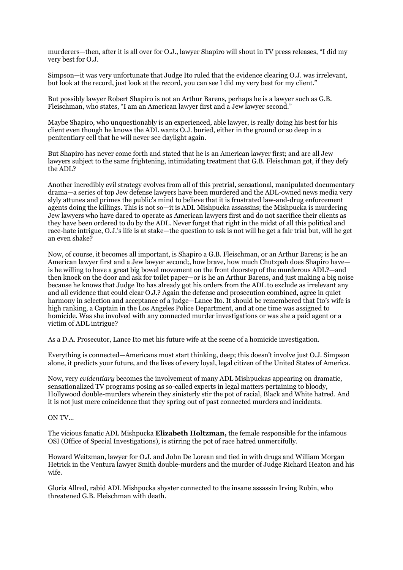murderers—then, after it is all over for O.J., lawyer Shapiro will shout in TV press releases, "I did my very best for O.J.

Simpson—it was very unfortunate that Judge Ito ruled that the evidence clearing O.J. was irrelevant, but look at the record, just look at the record, you can see I did my very best for my client."

But possibly lawyer Robert Shapiro is not an Arthur Barens, perhaps he is a lawyer such as G.B. Fleischman, who states, "I am an American lawyer first and a Jew lawyer second."

Maybe Shapiro, who unquestionably is an experienced, able lawyer, is really doing his best for his client even though he knows the ADL wants O.J. buried, either in the ground or so deep in a penitentiary cell that he will never see daylight again.

But Shapiro has never come forth and stated that he is an American lawyer first; and are all Jew lawyers subject to the same frightening, intimidating treatment that G.B. Fleischman got, if they defy the ADL?

Another incredibly evil strategy evolves from all of this pretrial, sensational, manipulated documentary drama—a series of top Jew defense lawyers have been murdered and the ADL-owned news media very slyly attunes and primes the public's mind to believe that it is frustrated law-and-drug enforcement agents doing the killings. This is not so—it is ADL Mishpucka assassins; the Mishpucka is murdering Jew lawyers who have dared to operate as American lawyers first and do not sacrifice their clients as they have been ordered to do by the ADL. Never forget that right in the midst of all this political and race-hate intrigue, O.J.'s life is at stake—the question to ask is not will he get a fair trial but, will he get an even shake?

Now, of course, it becomes all important, is Shapiro a G.B. Fleischman, or an Arthur Barens; is he an American lawyer first and a Jew lawyer second;, how brave, how much Chutzpah does Shapiro have is he willing to have a great big bowel movement on the front doorstep of the murderous ADL?—and then knock on the door and ask for toilet paper—or is he an Arthur Barens, and just making a big noise because he knows that Judge Ito has already got his orders from the ADL to exclude as irrelevant any and all evidence that could clear O.J.? Again the defense and prosecution combined, agree in quiet harmony in selection and acceptance of a judge—Lance Ito. It should be remembered that Ito's wife is high ranking, a Captain in the Los Angeles Police Department, and at one time was assigned to homicide. Was she involved with any connected murder investigations or was she a paid agent or a victim of ADL intrigue?

As a D.A. Prosecutor, Lance Ito met his future wife at the scene of a homicide investigation.

Everything is connected—Americans must start thinking, deep; this doesn't involve just O.J. Simpson alone, it predicts your future, and the lives of every loyal, legal citizen of the United States of America.

Now, very *evidentiary* becomes the involvement of many ADL Mishpuckas appearing on dramatic, sensationalized TV programs posing as so-called experts in legal matters pertaining to bloody, Hollywood double-murders wherein they sinisterly stir the pot of racial, Black and White hatred. And it is not just mere coincidence that they spring out of past connected murders and incidents.

ON TV...

The vicious fanatic ADL Mishpucka **Elizabeth Holtzman,** the female responsible for the infamous OSI (Office of Special Investigations), is stirring the pot of race hatred unmercifully.

Howard Weitzman, lawyer for O.J. and John De Lorean and tied in with drugs and William Morgan Hetrick in the Ventura lawyer Smith double-murders and the murder of Judge Richard Heaton and his wife.

Gloria Allred, rabid ADL Mishpucka shyster connected to the insane assassin Irving Rubin, who threatened G.B. Fleischman with death.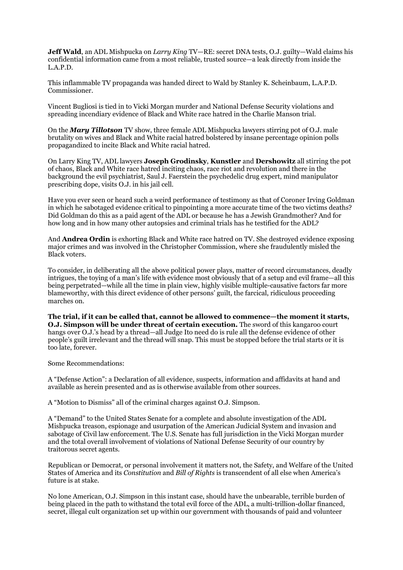**Jeff Wald**, an ADL Mishpucka on *Larry King* TV—RE: secret DNA tests, O.J. guilty—Wald claims his confidential information came from a most reliable, trusted source—a leak directly from inside the L.A.P.D.

This inflammable TV propaganda was handed direct to Wald by Stanley K. Scheinbaum, L.A.P.D. Commissioner.

Vincent Bugliosi is tied in to Vicki Morgan murder and National Defense Security violations and spreading incendiary evidence of Black and White race hatred in the Charlie Manson trial.

On the *Mary Tillotson* TV show, three female ADL Mishpucka lawyers stirring pot of O.J. male brutality on wives and Black and White racial hatred bolstered by insane percentage opinion polls propagandized to incite Black and White racial hatred.

On Larry King TV, ADL lawyers **Joseph Grodinsky**, **Kunstler** and **Dershowitz** all stirring the pot of chaos, Black and White race hatred inciting chaos, race riot and revolution and there in the background the evil psychiatrist, Saul J. Faerstein the psychedelic drug expert, mind manipulator prescribing dope, visits O.J. in his jail cell.

Have you ever seen or heard such a weird performance of testimony as that of Coroner Irving Goldman in which he sabotaged evidence critical to pinpointing a more accurate time of the two victims deaths? Did Goldman do this as a paid agent of the ADL or because he has a Jewish Grandmother? And for how long and in how many other autopsies and criminal trials has he testified for the ADL?

And **Andrea Ordin** is exhorting Black and White race hatred on TV. She destroyed evidence exposing major crimes and was involved in the Christopher Commission, where she fraudulently misled the Black voters.

To consider, in deliberating all the above political power plays, matter of record circumstances, deadly intrigues, the toying of a man's life with evidence most obviously that of a setup and evil frame—all this being perpetrated—while all the time in plain view, highly visible multiple-causative factors far more blameworthy, with this direct evidence of other persons' guilt, the farcical, ridiculous proceeding marches on.

**The trial, if it can be called that, cannot be allowed to commence—the moment it starts, O.J. Simpson will be under threat of certain execution.** The sword of this kangaroo court hangs over O.J.'s head by a thread—all Judge Ito need do is rule all the defense evidence of other people's guilt irrelevant and the thread will snap. This must be stopped before the trial starts or it is too late, forever.

Some Recommendations:

A "Defense Action": a Declaration of all evidence, suspects, information and affidavits at hand and available as herein presented and as is otherwise available from other sources.

A "Motion to Dismiss" all of the criminal charges against O.J. Simpson.

A "Demand" to the United States Senate for a complete and absolute investigation of the ADL Mishpucka treason, espionage and usurpation of the American Judicial System and invasion and sabotage of Civil law enforcement. The U.S. Senate has full jurisdiction in the Vicki Morgan murder and the total overall involvement of violations of National Defense Security of our country by traitorous secret agents.

Republican or Democrat, or personal involvement it matters not, the Safety, and Welfare of the United States of America and its *Constitution* and *Bill of Rights* is transcendent of all else when America's future is at stake.

No lone American, O.J. Simpson in this instant case, should have the unbearable, terrible burden of being placed in the path to withstand the total evil force of the ADL, a multi-trillion-dollar financed, secret, illegal cult organization set up within our government with thousands of paid and volunteer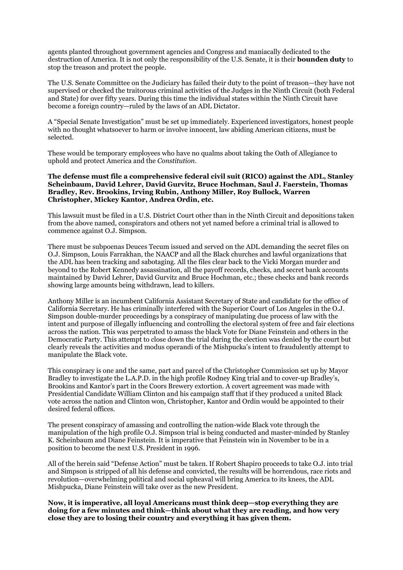agents planted throughout government agencies and Congress and maniacally dedicated to the destruction of America. It is not only the responsibility of the U.S. Senate, it is their **bounden duty** to stop the treason and protect the people.

The U.S. Senate Committee on the Judiciary has failed their duty to the point of treason—they have not supervised or checked the traitorous criminal activities of the Judges in the Ninth Circuit (both Federal and State) for over fifty years. During this time the individual states within the Ninth Circuit have become a foreign country—ruled by the laws of an ADL Dictator.

A "Special Senate Investigation" must be set up immediately. Experienced investigators, honest people with no thought whatsoever to harm or involve innocent, law abiding American citizens, must be selected.

These would be temporary employees who have no qualms about taking the Oath of Allegiance to uphold and protect America and the *Constitution*.

## **The defense must file a comprehensive federal civil suit (RICO) against the ADL, Stanley Scheinbaum, David Lehrer, David Gurvitz, Bruce Hochman, Saul J. Faerstein, Thomas Bradley, Rev. Brookins, Irving Rubin, Anthony Miller, Roy Bullock, Warren Christopher, Mickey Kantor, Andrea Ordin, etc.**

This lawsuit must be filed in a U.S. District Court other than in the Ninth Circuit and depositions taken from the above named, conspirators and others not yet named before a criminal trial is allowed to commence against O.J. Simpson.

There must be subpoenas Deuces Tecum issued and served on the ADL demanding the secret files on O.J. Simpson, Louis Farrakhan, the NAACP and all the Black churches and lawful organizations that the ADL has been tracking and sabotaging. All the files clear back to the Vicki Morgan murder and beyond to the Robert Kennedy assassination, all the payoff records, checks, and secret bank accounts maintained by David Lehrer, David Gurvitz and Bruce Hochman, etc.; these checks and bank records showing large amounts being withdrawn, lead to killers.

Anthony Miller is an incumbent California Assistant Secretary of State and candidate for the office of California Secretary. He has criminally interfered with the Superior Court of Los Angeles in the O.J. Simpson double-murder proceedings by a conspiracy of manipulating due process of law with the intent and purpose of illegally influencing and controlling the electoral system of free and fair elections across the nation. This was perpetrated to amass the black Vote for Diane Feinstein and others in the Democratic Party. This attempt to close down the trial during the election was denied by the court but clearly reveals the activities and modus operandi of the Mishpucka's intent to fraudulently attempt to manipulate the Black vote.

This conspiracy is one and the same, part and parcel of the Christopher Commission set up by Mayor Bradley to investigate the L.A.P.D. in the high profile Rodney King trial and to cover-up Bradley's, Brookins and Kantor's part in the Coors Brewery extortion. A covert agreement was made with Presidential Candidate William Clinton and his campaign staff that if they produced a united Black vote across the nation and Clinton won, Christopher, Kantor and Ordin would be appointed to their desired federal offices.

The present conspiracy of amassing and controlling the nation-wide Black vote through the manipulation of the high profile O.J. Simpson trial is being conducted and master-minded by Stanley K. Scheinbaum and Diane Feinstein. It is imperative that Feinstein win in November to be in a position to become the next U.S. President in 1996.

All of the herein said "Defense Action" must be taken. If Robert Shapiro proceeds to take O.J. into trial and Simpson is stripped of all his defense and convicted, the results will be horrendous, race riots and revolution—overwhelming political and social upheaval will bring America to its knees, the ADL Mishpucka, Diane Feinstein will take over as the new President.

**Now, it is imperative, all loyal Americans must think deep—stop everything they are doing for a few minutes and think—think about what they are reading, and how very close they are to losing their country and everything it has given them.**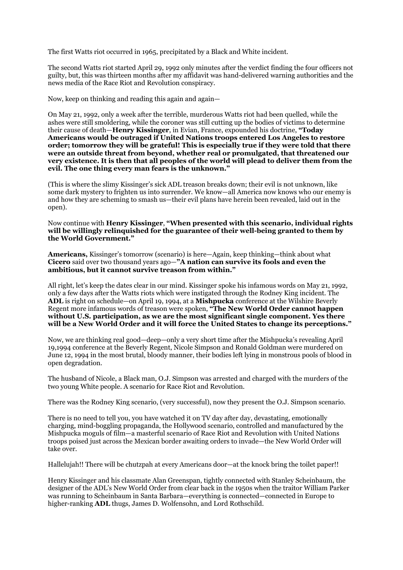The first Watts riot occurred in 1965, precipitated by a Black and White incident.

The second Watts riot started April 29, 1992 only minutes after the verdict finding the four officers not guilty, but, this was thirteen months after my affidavit was hand-delivered warning authorities and the news media of the Race Riot and Revolution conspiracy.

Now, keep on thinking and reading this again and again—

On May 21, 1992, only a week after the terrible, murderous Watts riot had been quelled, while the ashes were still smoldering, while the coroner was still cutting up the bodies of victims to determine their cause of death—**Henry Kissinger**, in Evian, France, expounded his doctrine, **"Today Americans would be outraged if United Nations troops entered Los Angeles to restore order; tomorrow they will be grateful! This is especially true if they were told that there were an outside threat from beyond, whether real or promulgated, that threatened our very existence. It is then that all peoples of the world will plead to deliver them from the evil. The one thing every man fears is the unknown."** 

(This is where the slimy Kissinger's sick ADL treason breaks down; their evil is not unknown, like some dark mystery to frighten us into surrender. We know—all America now knows who our enemy is and how they are scheming to smash us—their evil plans have herein been revealed, laid out in the open).

Now continue with **Henry Kissinger**, **"When presented with this scenario, individual rights will be willingly relinquished for the guarantee of their well-being granted to them by the World Government."** 

**Americans,** Kissinger's tomorrow (scenario) is here—Again, keep thinking—think about what **Cicero** said over two thousand years ago—**"A nation can survive its fools and even the ambitious, but it cannot survive treason from within."** 

All right, let's keep the dates clear in our mind. Kissinger spoke his infamous words on May 21, 1992, only a few days after the Watts riots which were instigated through the Rodney King incident. The **ADL** is right on schedule—on April 19, 1994, at a **Mishpucka** conference at the Wilshire Beverly Regent more infamous words of treason were spoken, **"The New World Order cannot happen without U.S. participation, as we are the most significant single component. Yes there will be a New World Order and it will force the United States to change its perceptions."** 

Now, we are thinking real good—deep—only a very short time after the Mishpucka's revealing April 19,1994 conference at the Beverly Regent, Nicole Simpson and Ronald Goldman were murdered on June 12, 1994 in the most brutal, bloody manner, their bodies left lying in monstrous pools of blood in open degradation.

The husband of Nicole, a Black man, O.J. Simpson was arrested and charged with the murders of the two young White people. A scenario for Race Riot and Revolution.

There was the Rodney King scenario, (very successful), now they present the O.J. Simpson scenario.

There is no need to tell you, you have watched it on TV day after day, devastating, emotionally charging, mind-boggling propaganda, the Hollywood scenario, controlled and manufactured by the Mishpucka moguls of film—a masterful scenario of Race Riot and Revolution with United Nations troops poised just across the Mexican border awaiting orders to invade—the New World Order will take over.

Hallelujah!! There will be chutzpah at every Americans door—at the knock bring the toilet paper!!

Henry Kissinger and his classmate Alan Greenspan, tightly connected with Stanley Scheinbaum, the designer of the ADL's New World Order from clear back in the 1950s when the traitor William Parker was running to Scheinbaum in Santa Barbara—everything is connected—connected in Europe to higher-ranking **ADL** thugs, James D. Wolfensohn, and Lord Rothschild.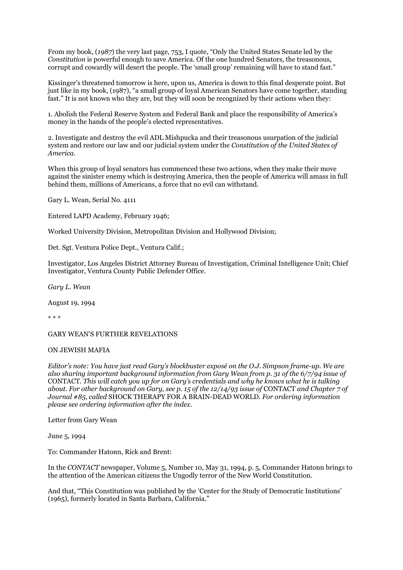From my book, (*1987*) the very last page, 753, I quote, "Only the United States Senate led by the *Constitution* is powerful enough to save America. Of the one hundred Senators, the treasonous, corrupt and cowardly will desert the people. The 'small group' remaining will have to stand fast."

Kissinger's threatened tomorrow is here, upon us, America is down to this final desperate point. But just like in my book, (1987), "a small group of loyal American Senators have come together, standing fast." It is not known who they are, but they will soon be recognized by their actions when they:

1. Abolish the Federal Reserve System and Federal Bank and place the responsibility of America's money in the hands of the people's elected representatives.

2. Investigate and destroy the evil ADL Mishpucka and their treasonous usurpation of the judicial system and restore our law and our judicial system under the *Constitution of the United States of America*.

When this group of loyal senators has commenced these two actions, when they make their move against the sinister enemy which is destroying America, then the people of America will amass in full behind them, millions of Americans, a force that no evil can withstand.

Gary L. Wean, Serial No. 4111

Entered LAPD Academy, February 1946;

Worked University Division, Metropolitan Division and Hollywood Division;

Det. Sgt. Ventura Police Dept., Ventura Calif.;

Investigator, Los Angeles District Attorney Bureau of Investigation, Criminal Intelligence Unit; Chief Investigator, Ventura County Public Defender Office.

*Gary L. Wean* 

August 19, 1994

\* \* \*

GARY WEAN'S FURTHER REVELATIONS

## ON JEWISH MAFIA

*Editor's note: You have just read Gary's blockbuster exposé on the O.J. Simpson frame-up. We are also sharing important background information from Gary Wean from p. 31 of the 6/7/94 issue of*  CONTACT*. This will catch you up for on Gary's credentials and why he knows what he is talking about. For other background on Gary, see p. 15 of the 12/14/93 issue of* CONTACT *and Chapter 7 of Journal #85, called* SHOCK THERAPY FOR A BRAIN-DEAD WORLD*. For ordering information please see ordering information after the index.* 

Letter from Gary Wean

June 5, 1994

To: Commander Hatonn, Rick and Brent:

In the *CONTACT* newspaper, Volume 5, Number 10, May 31, 1994, p. 5, Commander Hatonn brings to the attention of the American citizens the Ungodly terror of the New World Constitution.

And that, "This Constitution was published by the 'Center for the Study of Democratic Institutions' (1965), formerly located in Santa Barbara, California."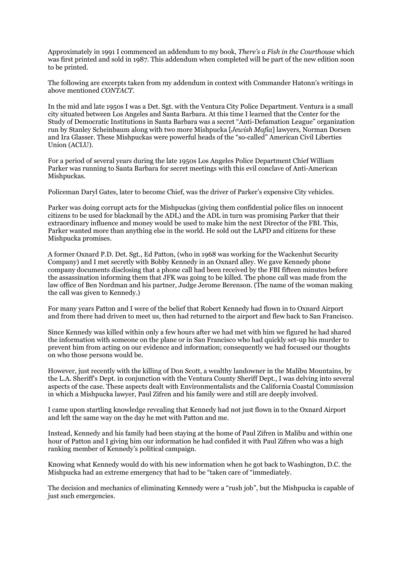Approximately in 1991 I commenced an addendum to my book, *There's a Fish in the Courthouse* which was first printed and sold in 1987. This addendum when completed will be part of the new edition soon to be printed.

The following are excerpts taken from my addendum in context with Commander Hatonn's writings in above mentioned *CONTACT.* 

In the mid and late 1950s I was a Det. Sgt. with the Ventura City Police Department. Ventura is a small city situated between Los Angeles and Santa Barbara. At this time I learned that the Center for the Study of Democratic Institutions in Santa Barbara was a secret "Anti-Defamation League" organization run by Stanley Scheinbaum along with two more Mishpucka [*Jewish Mafia*] lawyers, Norman Dorsen and Ira Glasser. These Mishpuckas were powerful heads of the "so-called" American Civil Liberties Union (ACLU).

For a period of several years during the late 1950s Los Angeles Police Department Chief William Parker was running to Santa Barbara for secret meetings with this evil conclave of Anti-American Mishpuckas.

Policeman Daryl Gates, later to become Chief, was the driver of Parker's expensive City vehicles.

Parker was doing corrupt acts for the Mishpuckas (giving them confidential police files on innocent citizens to be used for blackmail by the ADL) and the ADL in turn was promising Parker that their extraordinary influence and money would be used to make him the next Director of the FBI. This, Parker wanted more than anything else in the world. He sold out the LAPD and citizens for these Mishpucka promises.

A former Oxnard P.D. Det. Sgt., Ed Patton, (who in 1968 was working for the Wackenhut Security Company) and I met secretly with Bobby Kennedy in an Oxnard alley. We gave Kennedy phone company documents disclosing that a phone call had been received by the FBI fifteen minutes before the assassination informing them that JFK was going to be killed. The phone call was made from the law office of Ben Nordman and his partner, Judge Jerome Berenson. (The name of the woman making the call was given to Kennedy.)

For many years Patton and I were of the belief that Robert Kennedy had flown in to Oxnard Airport and from there had driven to meet us, then had returned to the airport and flew back to San Francisco.

Since Kennedy was killed within only a few hours after we had met with him we figured he had shared the information with someone on the plane or in San Francisco who had quickly set-up his murder to prevent him from acting on our evidence and information; consequently we had focused our thoughts on who those persons would be.

However, just recently with the killing of Don Scott, a wealthy landowner in the Malibu Mountains, by the L.A. Sheriff's Dept. in conjunction with the Ventura County Sheriff Dept., I was delving into several aspects of the case. These aspects dealt with Environmentalists and the California Coastal Commission in which a Mishpucka lawyer, Paul Zifren and his family were and still are deeply involved.

I came upon startling knowledge revealing that Kennedy had not just flown in to the Oxnard Airport and left the same way on the day he met with Patton and me.

Instead, Kennedy and his family had been staying at the home of Paul Zifren in Malibu and within one hour of Patton and I giving him our information he had confided it with Paul Zifren who was a high ranking member of Kennedy's political campaign.

Knowing what Kennedy would do with his new information when he got back to Washington, D.C. the Mishpucka had an extreme emergency that had to be "taken care of "immediately.

The decision and mechanics of eliminating Kennedy were a "rush job", but the Mishpucka is capable of just such emergencies.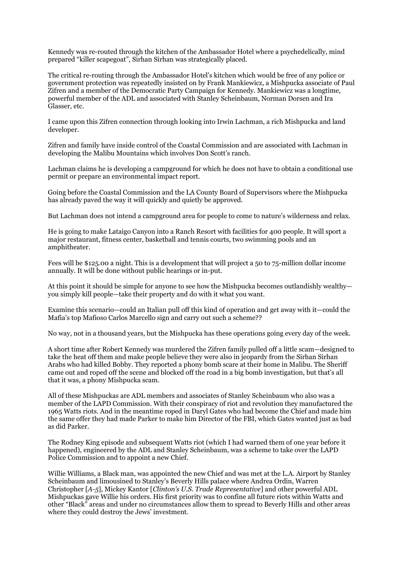Kennedy was re-routed through the kitchen of the Ambassador Hotel where a psychedelically, mind prepared "killer scapegoat", Sirhan Sirhan was strategically placed.

The critical re-routing through the Ambassador Hotel's kitchen which would be free of any police or government protection was repeatedly insisted on by Frank Mankiewicz, a Mishpucka associate of Paul Zifren and a member of the Democratic Party Campaign for Kennedy. Mankiewicz was a longtime, powerful member of the ADL and associated with Stanley Scheinbaum, Norman Dorsen and Ira Glasser, etc.

I came upon this Zifren connection through looking into Irwin Lachman, a rich Mishpucka and land developer.

Zifren and family have inside control of the Coastal Commission and are associated with Lachman in developing the Malibu Mountains which involves Don Scott's ranch.

Lachman claims he is developing a campground for which he does not have to obtain a conditional use permit or prepare an environmental impact report.

Going before the Coastal Commission and the LA County Board of Supervisors where the Mishpucka has already paved the way it will quickly and quietly be approved.

But Lachman does not intend a campground area for people to come to nature's wilderness and relax.

He is going to make Lataigo Canyon into a Ranch Resort with facilities for 400 people. It will sport a major restaurant, fitness center, basketball and tennis courts, two swimming pools and an amphitheater.

Fees will be \$125.00 a night. This is a development that will project a 50 to 75-million dollar income annually. It will be done without public hearings or in-put.

At this point it should be simple for anyone to see how the Mishpucka becomes outlandishly wealthy you simply kill people—take their property and do with it what you want.

Examine this scenario—could an Italian pull off this kind of operation and get away with it—could the Mafia's top Mafioso Carlos Marcello sign and carry out such a scheme??

No way, not in a thousand years, but the Mishpucka has these operations going every day of the week.

A short time after Robert Kennedy was murdered the Zifren family pulled off a little scam—designed to take the heat off them and make people believe they were also in jeopardy from the Sirhan Sirhan Arabs who had killed Bobby. They reported a phony bomb scare at their home in Malibu. The Sheriff came out and roped off the scene and blocked off the road in a big bomb investigation, but that's all that it was, a phony Mishpucka scam.

All of these Mishpuckas are ADL members and associates of Stanley Scheinbaum who also was a member of the LAPD Commission. With their conspiracy of riot and revolution they manufactured the 1965 Watts riots. And in the meantime roped in Daryl Gates who had become the Chief and made him the same offer they had made Parker to make him Director of the FBI, which Gates wanted just as bad as did Parker.

The Rodney King episode and subsequent Watts riot (which I had warned them of one year before it happened), engineered by the ADL and Stanley Scheinbaum, was a scheme to take over the LAPD Police Commission and to appoint a new Chief.

Willie Williams, a Black man, was appointed the new Chief and was met at the L.A. Airport by Stanley Scheinbaum and limousined to Stanley's Beverly Hills palace where Andrea Ordin, Warren Christopher [*A-5*], Mickey Kantor [*Clinton's U.S. Trade Representative*] and other powerful ADL Mishpuckas gave Willie his orders. His first priority was to confine all future riots within Watts and other "Black" areas and under no circumstances allow them to spread to Beverly Hills and other areas where they could destroy the Jews' investment.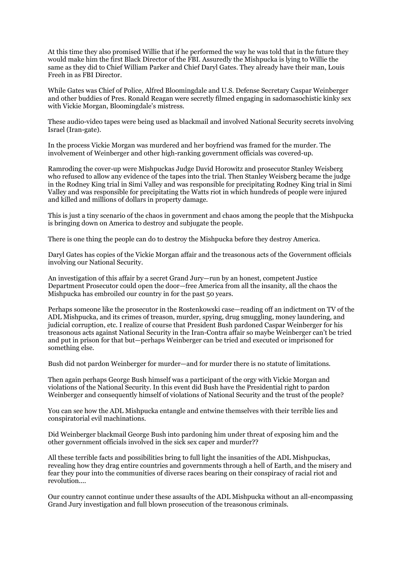At this time they also promised Willie that if he performed the way he was told that in the future they would make him the first Black Director of the FBI. Assuredly the Mishpucka is lying to Willie the same as they did to Chief William Parker and Chief Daryl Gates. They already have their man, Louis Freeh in as FBI Director.

While Gates was Chief of Police, Alfred Bloomingdale and U.S. Defense Secretary Caspar Weinberger and other buddies of Pres. Ronald Reagan were secretly filmed engaging in sadomasochistic kinky sex with Vickie Morgan, Bloomingdale's mistress.

These audio-video tapes were being used as blackmail and involved National Security secrets involving Israel (Iran-gate).

In the process Vickie Morgan was murdered and her boyfriend was framed for the murder. The involvement of Weinberger and other high-ranking government officials was covered-up.

Ramroding the cover-up were Mishpuckas Judge David Horowitz and prosecutor Stanley Weisberg who refused to allow any evidence of the tapes into the trial. Then Stanley Weisberg became the judge in the Rodney King trial in Simi Valley and was responsible for precipitating Rodney King trial in Simi Valley and was responsible for precipitating the Watts riot in which hundreds of people were injured and killed and millions of dollars in property damage.

This is just a tiny scenario of the chaos in government and chaos among the people that the Mishpucka is bringing down on America to destroy and subjugate the people.

There is one thing the people can do to destroy the Mishpucka before they destroy America.

Daryl Gates has copies of the Vickie Morgan affair and the treasonous acts of the Government officials involving our National Security.

An investigation of this affair by a secret Grand Jury—run by an honest, competent Justice Department Prosecutor could open the door—free America from all the insanity, all the chaos the Mishpucka has embroiled our country in for the past 50 years.

Perhaps someone like the prosecutor in the Rostenkowski case—reading off an indictment on TV of the ADL Mishpucka, and its crimes of treason, murder, spying, drug smuggling, money laundering, and judicial corruption, etc. I realize of course that President Bush pardoned Caspar Weinberger for his treasonous acts against National Security in the Iran-Contra affair so maybe Weinberger can't be tried and put in prison for that but—perhaps Weinberger can be tried and executed or imprisoned for something else.

Bush did not pardon Weinberger for murder—and for murder there is no statute of limitations.

Then again perhaps George Bush himself was a participant of the orgy with Vickie Morgan and violations of the National Security. In this event did Bush have the Presidential right to pardon Weinberger and consequently himself of violations of National Security and the trust of the people?

You can see how the ADL Mishpucka entangle and entwine themselves with their terrible lies and conspiratorial evil machinations.

Did Weinberger blackmail George Bush into pardoning him under threat of exposing him and the other government officials involved in the sick sex caper and murder??

All these terrible facts and possibilities bring to full light the insanities of the ADL Mishpuckas, revealing how they drag entire countries and governments through a hell of Earth, and the misery and fear they pour into the communities of diverse races bearing on their conspiracy of racial riot and revolution....

Our country cannot continue under these assaults of the ADL Mishpucka without an all-encompassing Grand Jury investigation and full blown prosecution of the treasonous criminals.